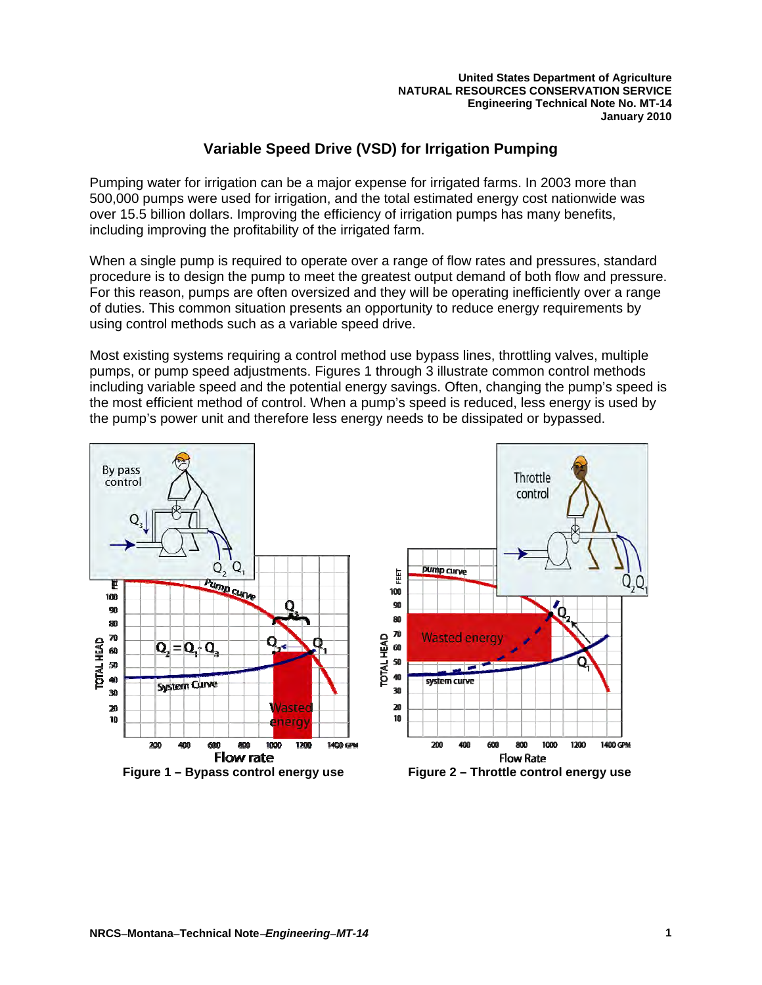**United States Department of Agriculture NATURAL RESOURCES CONSERVATION SERVICE Engineering Technical Note No. MT-14 January 2010** 

# **Variable Speed Drive (VSD) for Irrigation Pumping**

Pumping water for irrigation can be a major expense for irrigated farms. In 2003 more than 500,000 pumps were used for irrigation, and the total estimated energy cost nationwide was over 15.5 billion dollars. Improving the efficiency of irrigation pumps has many benefits, including improving the profitability of the irrigated farm.

When a single pump is required to operate over a range of flow rates and pressures, standard procedure is to design the pump to meet the greatest output demand of both flow and pressure. For this reason, pumps are often oversized and they will be operating inefficiently over a range of duties. This common situation presents an opportunity to reduce energy requirements by using control methods such as a variable speed drive.

Most existing systems requiring a control method use bypass lines, throttling valves, multiple pumps, or pump speed adjustments. Figures 1 through 3 illustrate common control methods including variable speed and the potential energy savings. Often, changing the pump's speed is the most efficient method of control. When a pump's speed is reduced, less energy is used by the pump's power unit and therefore less energy needs to be dissipated or bypassed.

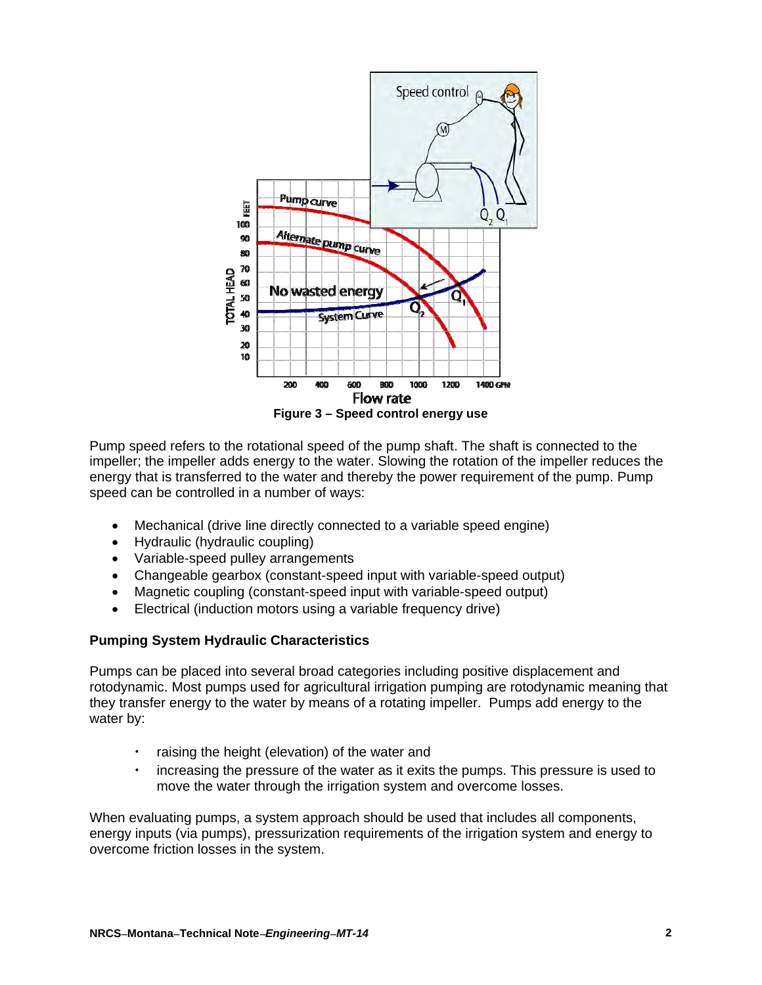

Pump speed refers to the rotational speed of the pump shaft. The shaft is connected to the impeller; the impeller adds energy to the water. Slowing the rotation of the impeller reduces the energy that is transferred to the water and thereby the power requirement of the pump. Pump speed can be controlled in a number of ways:

- Mechanical (drive line directly connected to a variable speed engine)
- Hydraulic (hydraulic coupling)
- Variable-speed pulley arrangements
- Changeable gearbox (constant-speed input with variable-speed output)
- Magnetic coupling (constant-speed input with variable-speed output)
- Electrical (induction motors using a variable frequency drive)

#### **Pumping System Hydraulic Characteristics**

Pumps can be placed into several broad categories including positive displacement and rotodynamic. Most pumps used for agricultural irrigation pumping are rotodynamic meaning that they transfer energy to the water by means of a rotating impeller. Pumps add energy to the water by:

- raising the height (elevation) of the water and
- increasing the pressure of the water as it exits the pumps. This pressure is used to move the water through the irrigation system and overcome losses.

When evaluating pumps, a system approach should be used that includes all components, energy inputs (via pumps), pressurization requirements of the irrigation system and energy to overcome friction losses in the system.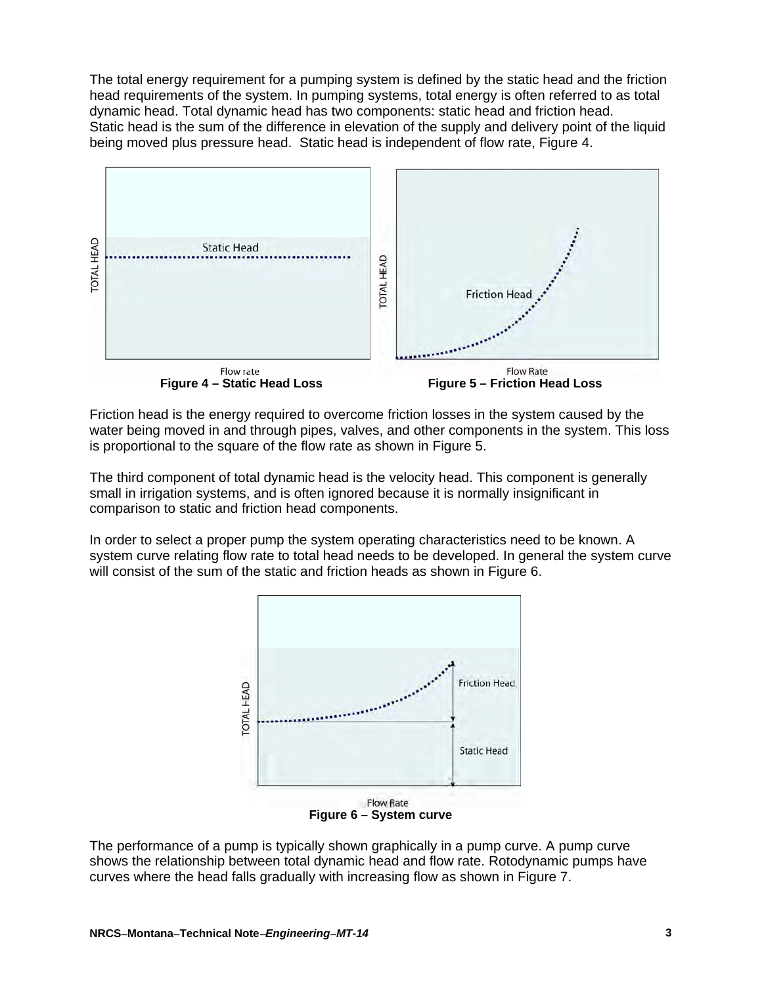The total energy requirement for a pumping system is defined by the static head and the friction head requirements of the system. In pumping systems, total energy is often referred to as total dynamic head. Total dynamic head has two components: static head and friction head. Static head is the sum of the difference in elevation of the supply and delivery point of the liquid being moved plus pressure head. Static head is independent of flow rate, Figure 4.



Friction head is the energy required to overcome friction losses in the system caused by the water being moved in and through pipes, valves, and other components in the system. This loss is proportional to the square of the flow rate as shown in Figure 5.

The third component of total dynamic head is the velocity head. This component is generally small in irrigation systems, and is often ignored because it is normally insignificant in comparison to static and friction head components.

In order to select a proper pump the system operating characteristics need to be known. A system curve relating flow rate to total head needs to be developed. In general the system curve will consist of the sum of the static and friction heads as shown in Figure 6.



The performance of a pump is typically shown graphically in a pump curve. A pump curve shows the relationship between total dynamic head and flow rate. Rotodynamic pumps have curves where the head falls gradually with increasing flow as shown in Figure 7.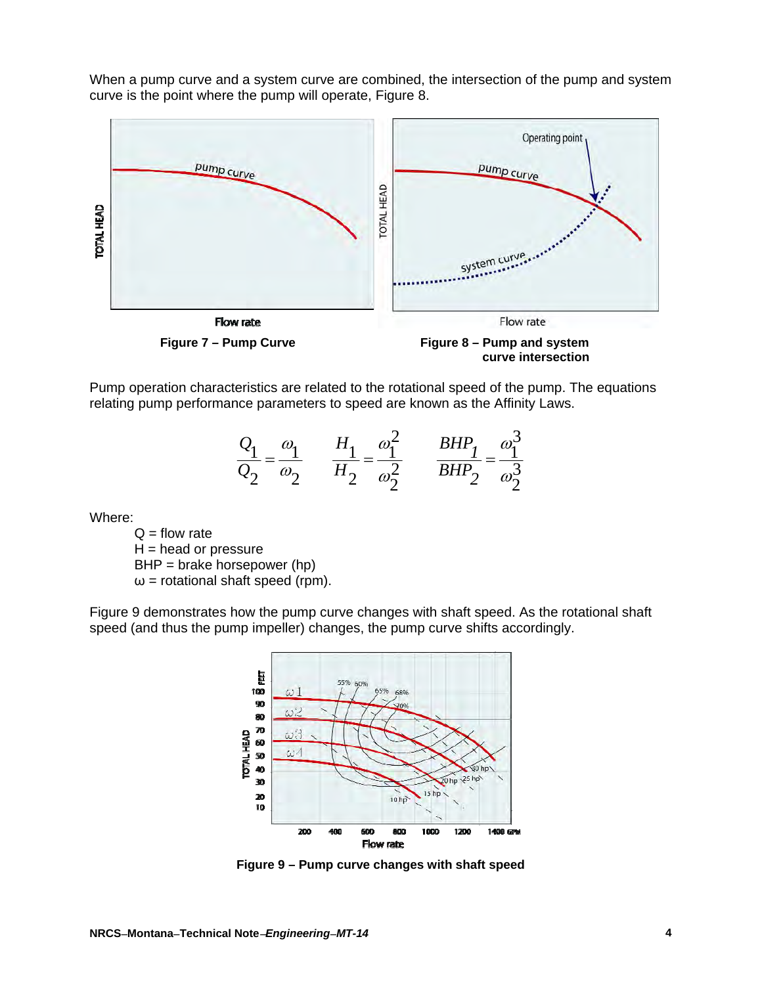When a pump curve and a system curve are combined, the intersection of the pump and system curve is the point where the pump will operate, Figure 8.



Pump operation characteristics are related to the rotational speed of the pump. The equations relating pump performance parameters to speed are known as the Affinity Laws.

$$
\frac{Q_1}{Q_2} = \frac{\omega_1}{\omega_2} \qquad \frac{H_1}{H_2} = \frac{\omega_1^2}{\omega_2^2} \qquad \frac{BHP_1}{BHP_2} = \frac{\omega_1^3}{\omega_2^3}
$$

Where:

 $Q =$  flow rate  $H =$  head or pressure BHP = brake horsepower (hp)  $\omega$  = rotational shaft speed (rpm).

Figure 9 demonstrates how the pump curve changes with shaft speed. As the rotational shaft speed (and thus the pump impeller) changes, the pump curve shifts accordingly.



**Figure 9 – Pump curve changes with shaft speed**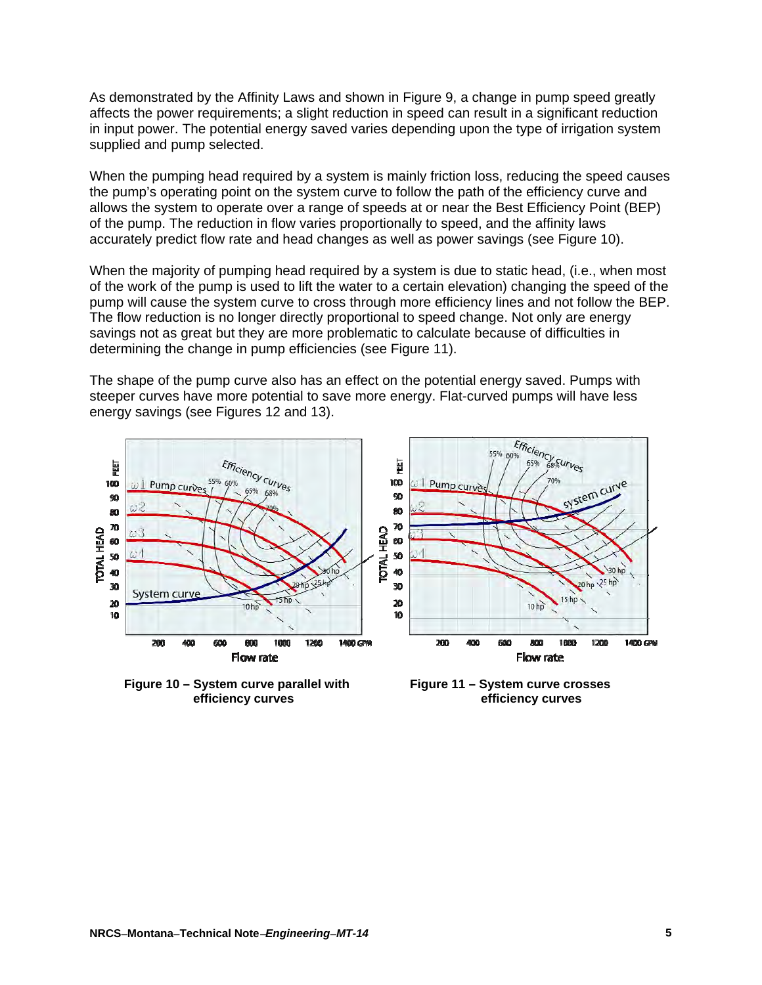As demonstrated by the Affinity Laws and shown in Figure 9, a change in pump speed greatly affects the power requirements; a slight reduction in speed can result in a significant reduction in input power. The potential energy saved varies depending upon the type of irrigation system supplied and pump selected.

When the pumping head required by a system is mainly friction loss, reducing the speed causes the pump's operating point on the system curve to follow the path of the efficiency curve and allows the system to operate over a range of speeds at or near the Best Efficiency Point (BEP) of the pump. The reduction in flow varies proportionally to speed, and the affinity laws accurately predict flow rate and head changes as well as power savings (see Figure 10).

When the majority of pumping head required by a system is due to static head, (i.e., when most of the work of the pump is used to lift the water to a certain elevation) changing the speed of the pump will cause the system curve to cross through more efficiency lines and not follow the BEP. The flow reduction is no longer directly proportional to speed change. Not only are energy savings not as great but they are more problematic to calculate because of difficulties in determining the change in pump efficiencies (see Figure 11).

The shape of the pump curve also has an effect on the potential energy saved. Pumps with steeper curves have more potential to save more energy. Flat-curved pumps will have less energy savings (see Figures 12 and 13).



 **Figure 10 – System curve parallel with Figure 11 – System curve crosses** 

 **efficiency curves efficiency curves**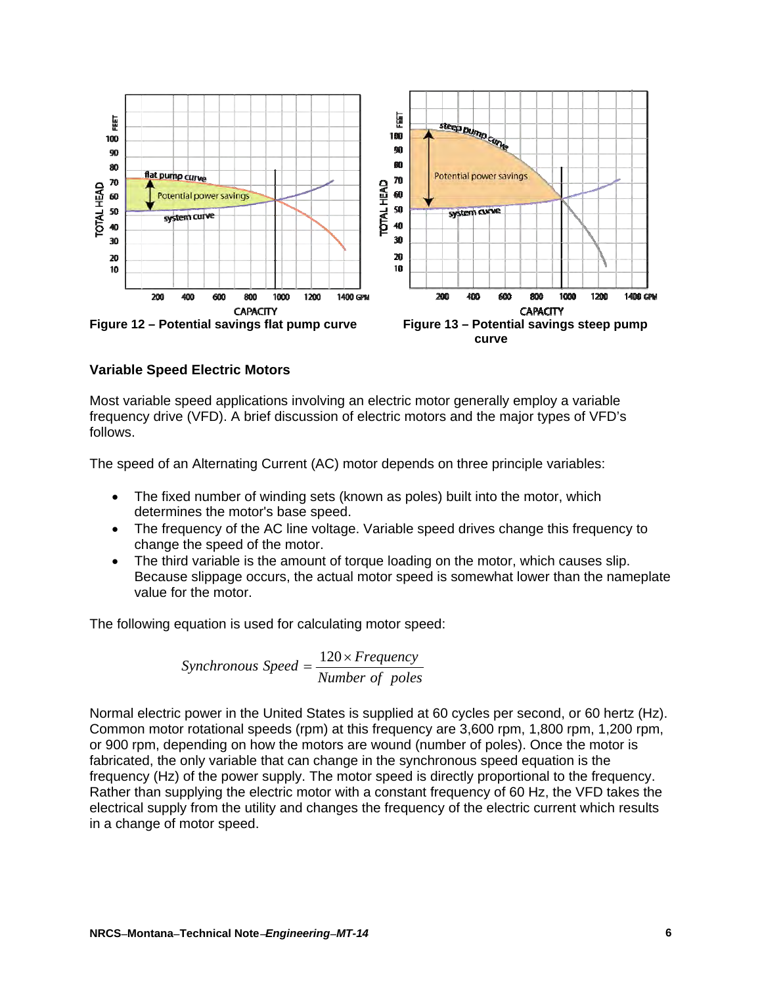

## **Variable Speed Electric Motors**

Most variable speed applications involving an electric motor generally employ a variable frequency drive (VFD). A brief discussion of electric motors and the major types of VFD's follows.

The speed of an Alternating Current (AC) motor depends on three principle variables:

- The fixed number of winding sets (known as [poles\)](http://www.oddparts.com/acsi/defines/poles.htm) built into the motor, which determines the motor's base speed.
- The [frequency](http://www.oddparts.com/acsi/defines/poles.htm) of the AC line voltage. Variable speed [drives](http://www.oddparts.com/acsi/defines/drive.htm) change this frequency to change the speed of the motor.
- The third variable is the amount of [torque](http://www.oddparts.com/acsi/defines/torque.htm) loading on the motor, which causes [slip.](http://www.oddparts.com/acsi/defines/slip.htm) Because slippage occurs, the actual motor speed is somewhat lower than the nameplate value for the motor.

The following equation is used for calculating motor speed:

*Pumber* of poles  $Synchronous Speed = \frac{120 \times Frequency}{120 \times Frequency}$ 

Normal electric power in the United States is supplied at 60 cycles per second, or 60 hertz (Hz). Common motor rotational speeds (rpm) at this frequency are 3,600 rpm, 1,800 rpm, 1,200 rpm, or 900 rpm, depending on how the motors are wound (number of poles). Once the motor is fabricated, the only variable that can change in the synchronous speed equation is the frequency (Hz) of the power supply. The motor speed is directly proportional to the frequency. Rather than supplying the electric motor with a constant frequency of 60 Hz, the VFD takes the electrical supply from the utility and changes the frequency of the electric current which results in a change of motor speed.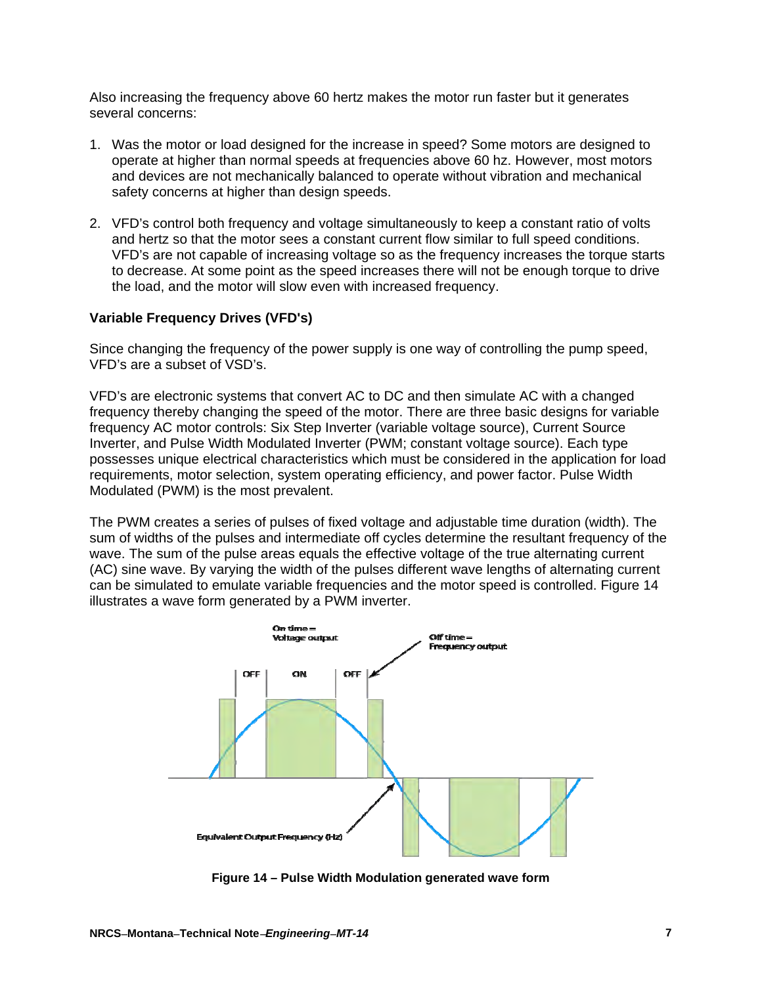Also increasing the frequency above 60 hertz makes the motor run faster but it generates several concerns:

- 1. Was the motor or load designed for the increase in speed? Some motors are designed to operate at higher than normal speeds at frequencies above 60 hz. However, most motors and devices are not mechanically balanced to operate without vibration and mechanical safety concerns at higher than design speeds.
- 2. VFD's control both frequency and voltage simultaneously to keep a constant ratio of volts and hertz so that the motor sees a constant current flow similar to full speed conditions. VFD's are not capable of increasing voltage so as the frequency increases the torque starts to decrease. At some point as the speed increases there will not be enough torque to drive the load, and the motor will slow even with increased frequency.

#### **Variable Frequency Drives (VFD's)**

Since changing the frequency of the power supply is one way of controlling the pump speed, VFD's are a subset of VSD's.

VFD's are electronic systems that convert AC to DC and then simulate AC with a changed frequency thereby changing the speed of the motor. There are three basic designs for variable frequency AC motor controls: Six Step Inverter (variable voltage source), Current Source Inverter, and Pulse Width Modulated Inverter (PWM; constant voltage source). Each type possesses unique electrical characteristics which must be considered in the application for load requirements, motor selection, system operating efficiency, and power factor. Pulse Width Modulated (PWM) is the most prevalent.

The PWM creates a series of pulses of fixed voltage and adjustable time duration (width). The sum of widths of the pulses and intermediate off cycles determine the resultant frequency of the wave. The sum of the pulse areas equals the effective voltage of the true alternating current (AC) sine wave. By varying the width of the pulses different wave lengths of alternating current can be simulated to emulate variable frequencies and the motor speed is controlled. Figure 14 illustrates a wave form generated by a PWM inverter.



**Figure 14 – Pulse Width Modulation generated wave form**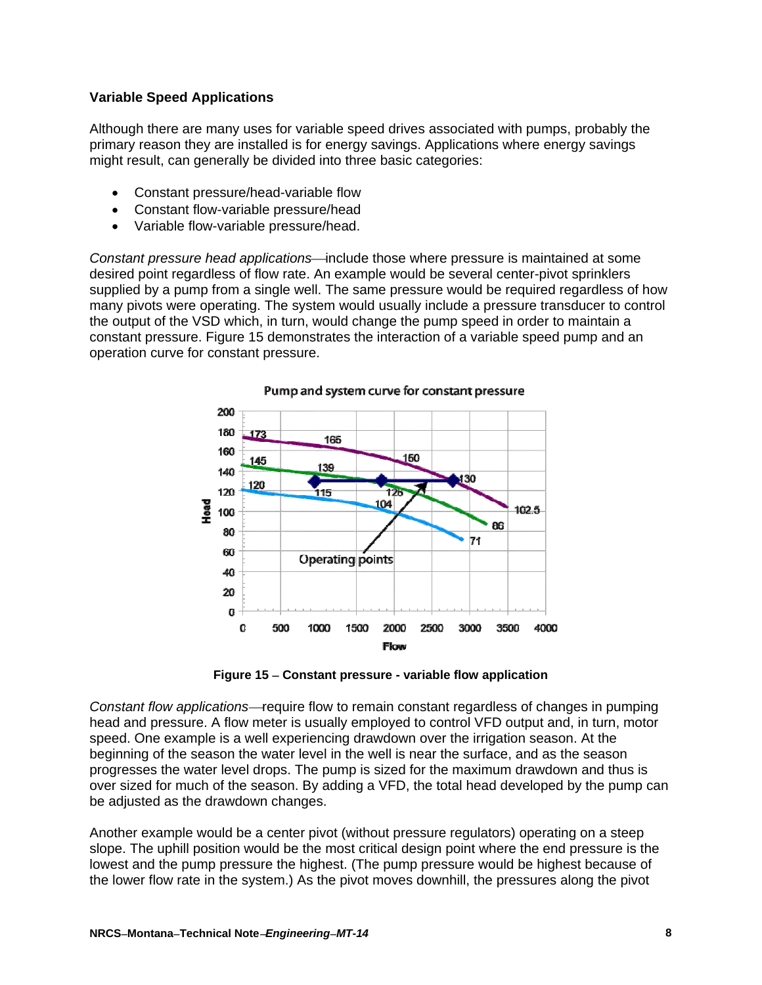## **Variable Speed Applications**

Although there are many uses for variable speed drives associated with pumps, probably the primary reason they are installed is for energy savings. Applications where energy savings might result, can generally be divided into three basic categories:

- Constant pressure/head-variable flow
- Constant flow-variable pressure/head
- Variable flow-variable pressure/head.

*Constant pressure head applications*—include those where pressure is maintained at some desired point regardless of flow rate. An example would be several center-pivot sprinklers supplied by a pump from a single well. The same pressure would be required regardless of how many pivots were operating. The system would usually include a pressure transducer to control the output of the VSD which, in turn, would change the pump speed in order to maintain a constant pressure. Figure 15 demonstrates the interaction of a variable speed pump and an operation curve for constant pressure.



Pump and system curve for constant pressure

**Figure 15 Constant pressure - variable flow application** 

*Constant flow applications*—require flow to remain constant regardless of changes in pumping head and pressure. A flow meter is usually employed to control VFD output and, in turn, motor speed. One example is a well experiencing drawdown over the irrigation season. At the beginning of the season the water level in the well is near the surface, and as the season progresses the water level drops. The pump is sized for the maximum drawdown and thus is over sized for much of the season. By adding a VFD, the total head developed by the pump can be adjusted as the drawdown changes.

Another example would be a center pivot (without pressure regulators) operating on a steep slope. The uphill position would be the most critical design point where the end pressure is the lowest and the pump pressure the highest. (The pump pressure would be highest because of the lower flow rate in the system.) As the pivot moves downhill, the pressures along the pivot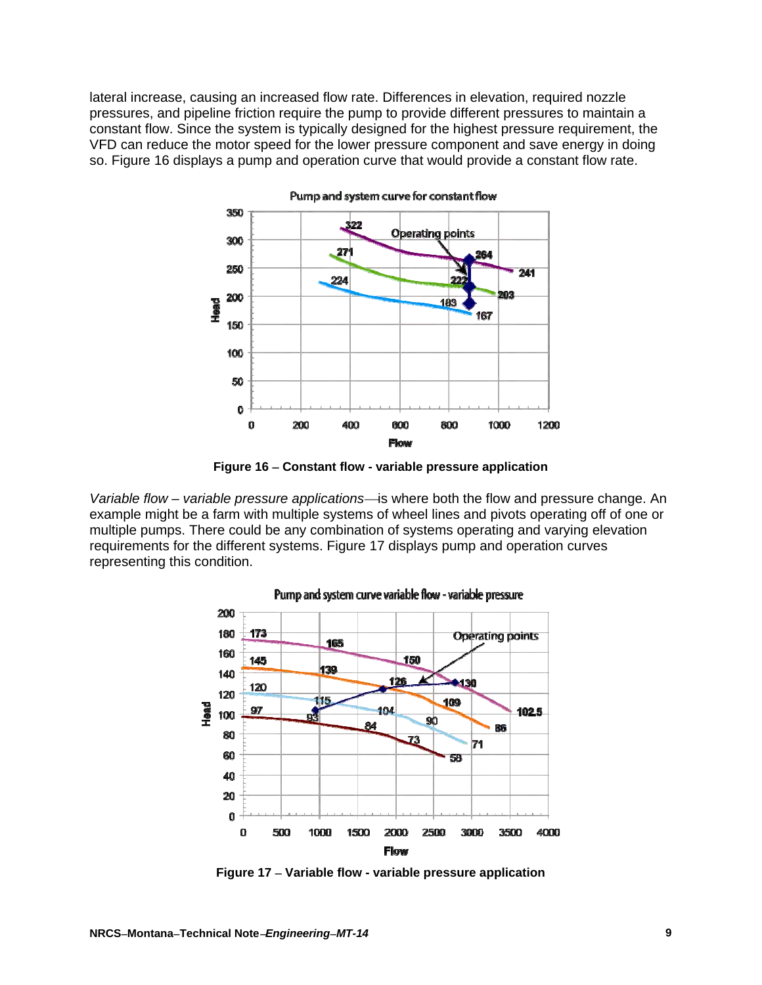lateral increase, causing an increased flow rate. Differences in elevation, required nozzle pressures, and pipeline friction require the pump to provide different pressures to maintain a constant flow. Since the system is typically designed for the highest pressure requirement, the VFD can reduce the motor speed for the lower pressure component and save energy in doing so. Figure 16 displays a pump and operation curve that would provide a constant flow rate.



Pump and system curve for constant flow



*Variable flow* – *variable pressure applications*is where both the flow and pressure change. An example might be a farm with multiple systems of wheel lines and pivots operating off of one or multiple pumps. There could be any combination of systems operating and varying elevation requirements for the different systems. Figure 17 displays pump and operation curves representing this condition.



#### Pump and system curve variable flow - variable pressure

**Figure 17 Variable flow - variable pressure application**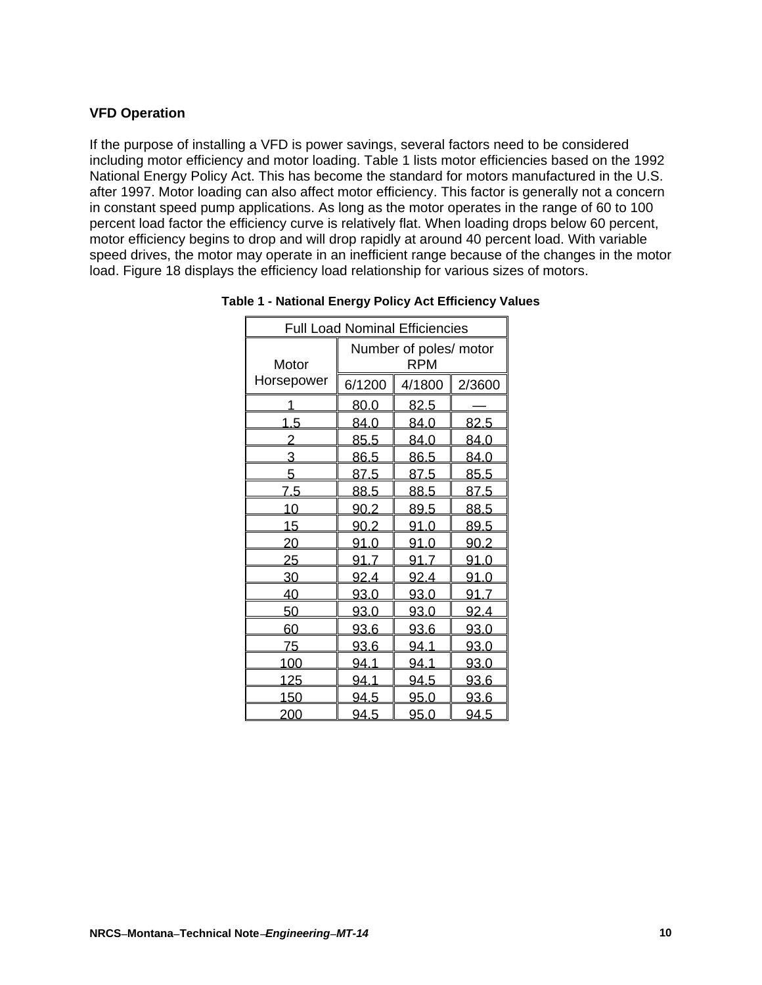### **VFD Operation**

If the purpose of installing a VFD is power savings, several factors need to be considered including motor efficiency and motor loading. Table 1 lists motor efficiencies based on the 1992 National Energy Policy Act. This has become the standard for motors manufactured in the U.S. after 1997. Motor loading can also affect motor efficiency. This factor is generally not a concern in constant speed pump applications. As long as the motor operates in the range of 60 to 100 percent load factor the efficiency curve is relatively flat. When loading drops below 60 percent, motor efficiency begins to drop and will drop rapidly at around 40 percent load. With variable speed drives, the motor may operate in an inefficient range because of the changes in the motor load. Figure 18 displays the efficiency load relationship for various sizes of motors.

| <b>Full Load Nominal Efficiencies</b> |                                      |             |             |  |  |
|---------------------------------------|--------------------------------------|-------------|-------------|--|--|
| Motor                                 | Number of poles/ motor<br><b>RPM</b> |             |             |  |  |
| Horsepower                            | 6/1200                               | 4/1800      | 2/3600      |  |  |
|                                       | 80.0                                 | 82.5        |             |  |  |
| <u>1.5</u>                            | <u>84.0</u>                          | <u>84.0</u> | <u>82.5</u> |  |  |
| 2                                     | 85.5                                 | 84.0        | 84.0        |  |  |
| 3                                     | 86.5                                 | 86.5        | 84.0        |  |  |
| 5                                     | 87.5                                 | 87.5        | 85.5        |  |  |
| <u>7.5</u>                            | 88.5                                 | <u>88.5</u> | 87.5        |  |  |
| <u> 10</u>                            | 90.2                                 | 89.5        | 88.5        |  |  |
| <u> 15</u>                            | 90.2                                 | 91.0        | 89.5        |  |  |
| 20                                    | 91.0                                 | 91.0        | 90.2        |  |  |
| 25                                    | 91.7                                 | 91.7        | 91.0        |  |  |
| 30                                    | <u>92.4</u>                          | <u>92.4</u> | 91.0        |  |  |
| 40                                    | <u>93.0</u>                          | <u>93.0</u> | 91.7        |  |  |
| 50                                    | 93.0                                 | 93.0        | <u>92.4</u> |  |  |
| 60                                    | 93.6                                 | 93.6        | 93.0        |  |  |
| 75                                    | 93.6                                 | <u>94.1</u> | 93.0        |  |  |
| 100                                   | 94.1                                 | 94.1        | 93.0        |  |  |
| <u> 125</u>                           | <u>94.1</u>                          | <u>94.5</u> | <u>93.6</u> |  |  |
| 150                                   | <u>94.5</u>                          | 95.0        | 93.6        |  |  |
| 200                                   | 94.5<br>95.0<br>94.5                 |             |             |  |  |

**Table 1 - National Energy Policy Act Efficiency Values**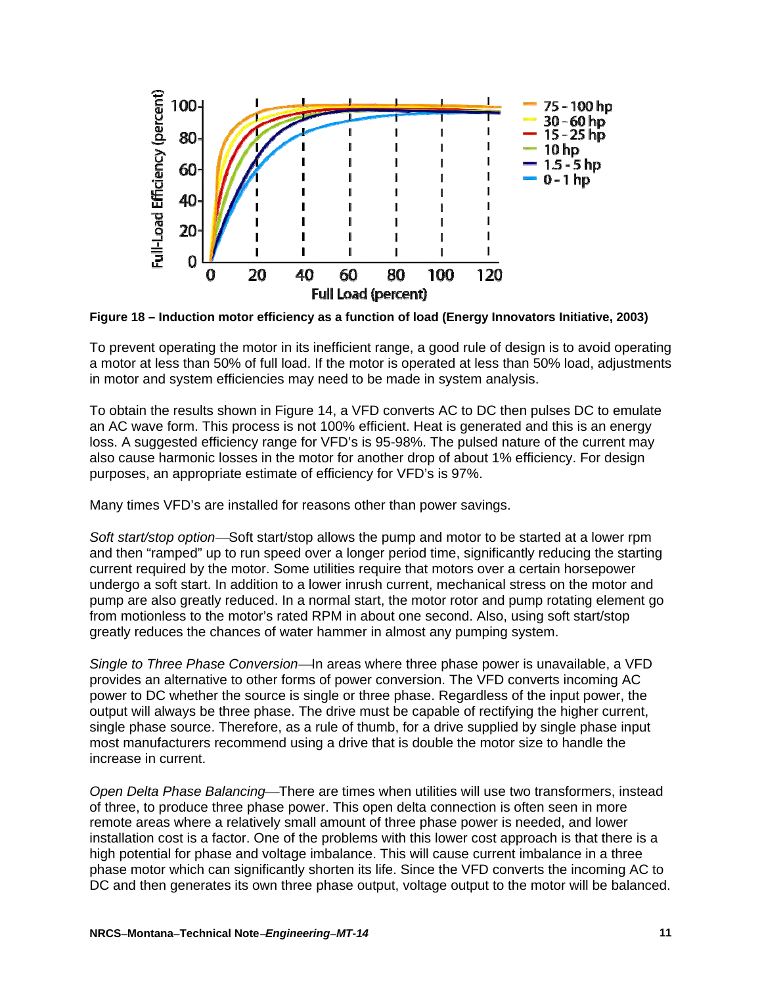

**Figure 18 – Induction motor efficiency as a function of load (Energy Innovators Initiative, 2003)** 

To prevent operating the motor in its inefficient range, a good rule of design is to avoid operating a motor at less than 50% of full load. If the motor is operated at less than 50% load, adjustments in motor and system efficiencies may need to be made in system analysis.

To obtain the results shown in Figure 14, a VFD converts AC to DC then pulses DC to emulate an AC wave form. This process is not 100% efficient. Heat is generated and this is an energy loss. A suggested efficiency range for VFD's is 95-98%. The pulsed nature of the current may also cause harmonic losses in the motor for another drop of about 1% efficiency. For design purposes, an appropriate estimate of efficiency for VFD's is 97%.

Many times VFD's are installed for reasons other than power savings.

*Soft start/stop option*—Soft start/stop allows the pump and motor to be started at a lower rpm and then "ramped" up to run speed over a longer period time, significantly reducing the starting current required by the motor. Some utilities require that motors over a certain horsepower undergo a soft start. In addition to a lower inrush current, mechanical stress on the motor and pump are also greatly reduced. In a normal start, the motor rotor and pump rotating element go from motionless to the motor's rated RPM in about one second. Also, using soft start/stop greatly reduces the chances of water hammer in almost any pumping system.

*Single to Three Phase Conversion*—In areas where three phase power is unavailable, a VFD provides an alternative to other forms of power conversion. The VFD converts incoming AC power to DC whether the source is single or three phase. Regardless of the input power, the output will always be three phase. The drive must be capable of rectifying the higher current, single phase source. Therefore, as a rule of thumb, for a drive supplied by single phase input most manufacturers recommend using a drive that is double the motor size to handle the increase in current.

*Open Delta Phase Balancing*—There are times when utilities will use two transformers, instead of three, to produce three phase power. This open delta connection is often seen in more remote areas where a relatively small amount of three phase power is needed, and lower installation cost is a factor. One of the problems with this lower cost approach is that there is a high potential for phase and voltage imbalance. This will cause current imbalance in a three phase motor which can significantly shorten its life. Since the VFD converts the incoming AC to DC and then generates its own three phase output, voltage output to the motor will be balanced.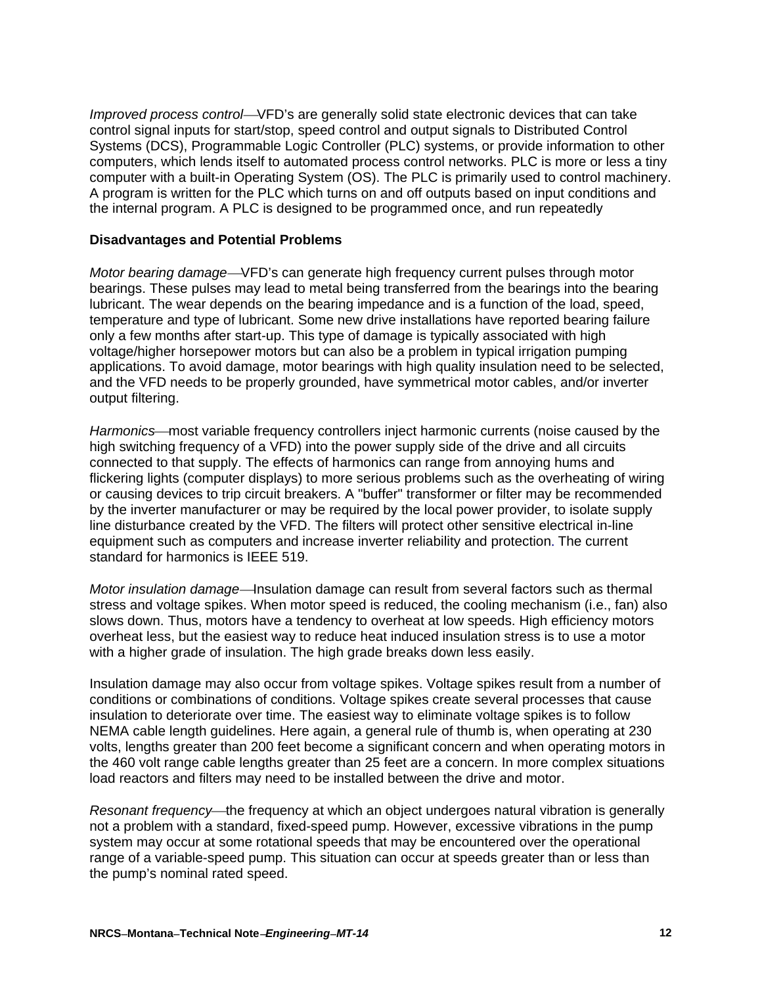*Improved process control*—VFD's are generally solid state electronic devices that can take control signal inputs for start/stop, speed control and output signals to Distributed Control Systems (DCS), [Programmable Logic Controller](http://en.wikipedia.org/wiki/Programmable_Logic_Controller) (PLC) systems, or provide information to other computers, which lends itself to automated process control networks. [PLC](http://en.wikipedia.org/wiki/Programmable_Logic_Controller) is more or less a tiny computer with a built-in Operating System (OS). The PLC is primarily used to control machinery. A program is written for the PLC which turns on and off outputs based on input conditions and the internal program. A PLC is designed to be programmed once, and run repeatedly

### **Disadvantages and Potential Problems**

*Motor bearing damage*—VFD's can generate high frequency current pulses through motor bearings. These pulses may lead to metal being transferred from the bearings into the bearing lubricant. The wear depends on the bearing impedance and is a function of the load, speed, temperature and type of lubricant. Some new drive installations have reported bearing failure only a few months after start-up. This type of damage is typically associated with high voltage/higher horsepower motors but can also be a problem in typical irrigation pumping applications. To avoid damage, motor bearings with high quality insulation need to be selected, and the VFD needs to be properly grounded, have symmetrical motor cables, and/or inverter output filtering.

Harmonics—most variable frequency controllers inject harmonic currents (noise caused by the high switching frequency of a VFD) into the power supply side of the drive and all circuits connected to that supply. The effects of harmonics can range from annoying hums and flickering lights (computer displays) to more serious problems such as the overheating of wiring or causing devices to trip circuit breakers. A "buffer" transformer or filter may be recommended by the inverter manufacturer or may be required by the local power provider, to isolate supply line disturbance created by the VFD. The filters will protect other sensitive electrical in-line equipment such as computers and increase inverter reliability and protection. The current standard for harmonics is IEEE 519.

*Motor insulation damage*—Insulation damage can result from several factors such as thermal stress and voltage spikes. When motor speed is reduced, the cooling mechanism (i.e., fan) also slows down. Thus, motors have a tendency to overheat at low speeds. High efficiency motors overheat less, but the easiest way to reduce heat induced insulation stress is to use a motor with a higher grade of insulation. The high grade breaks down less easily.

Insulation damage may also occur from voltage spikes. Voltage spikes result from a number of conditions or combinations of conditions. Voltage spikes create several processes that cause insulation to deteriorate over time. The easiest way to eliminate voltage spikes is to follow NEMA cable length guidelines. Here again, a general rule of thumb is, when operating at 230 volts, lengths greater than 200 feet become a significant concern and when operating motors in the 460 volt range cable lengths greater than 25 feet are a concern. In more complex situations load reactors and filters may need to be installed between the drive and motor.

*Resonant frequency*—the frequency at which an object undergoes natural vibration is generally not a problem with a standard, fixed-speed pump. However, excessive vibrations in the pump system may occur at some rotational speeds that may be encountered over the operational range of a variable-speed pump. This situation can occur at speeds greater than or less than the pump's nominal rated speed.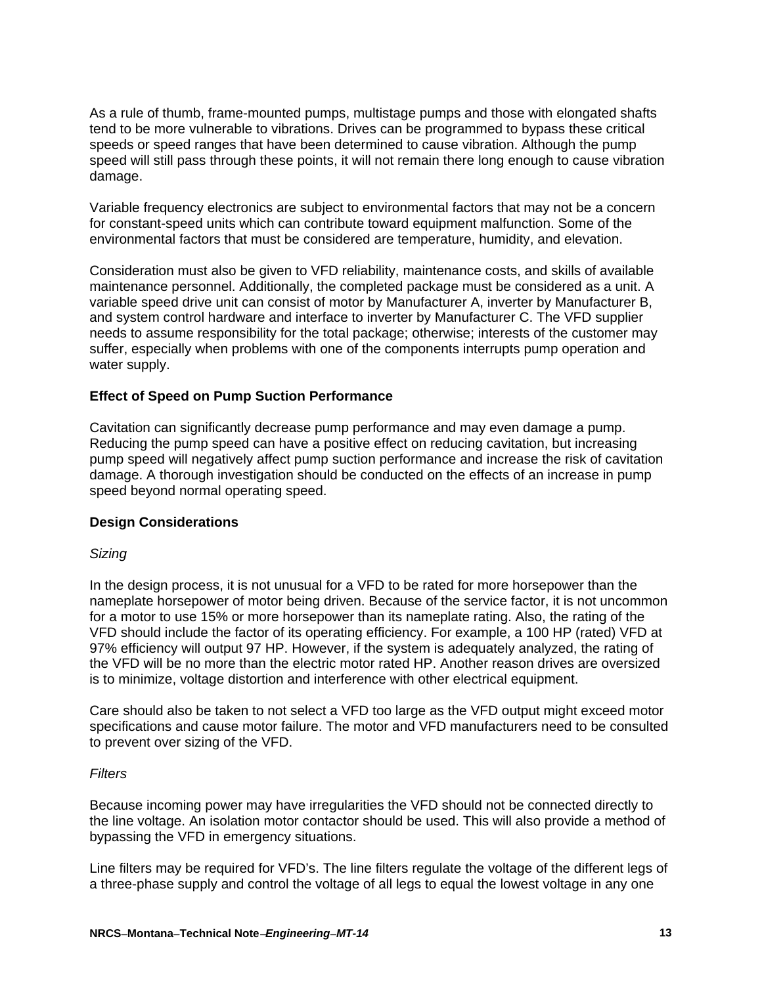As a rule of thumb, frame-mounted pumps, multistage pumps and those with elongated shafts tend to be more vulnerable to vibrations. Drives can be programmed to bypass these critical speeds or speed ranges that have been determined to cause vibration. Although the pump speed will still pass through these points, it will not remain there long enough to cause vibration damage.

Variable frequency electronics are subject to environmental factors that may not be a concern for constant-speed units which can contribute toward equipment malfunction. Some of the environmental factors that must be considered are temperature, humidity, and elevation.

Consideration must also be given to VFD reliability, maintenance costs, and skills of available maintenance personnel. Additionally, the completed package must be considered as a unit. A variable speed drive unit can consist of motor by Manufacturer A, inverter by Manufacturer B, and system control hardware and interface to inverter by Manufacturer C. The VFD supplier needs to assume responsibility for the total package; otherwise; interests of the customer may suffer, especially when problems with one of the components interrupts pump operation and water supply.

### **Effect of Speed on Pump Suction Performance**

Cavitation can significantly decrease pump performance and may even damage a pump. Reducing the pump speed can have a positive effect on reducing cavitation, but increasing pump speed will negatively affect pump suction performance and increase the risk of cavitation damage. A thorough investigation should be conducted on the effects of an increase in pump speed beyond normal operating speed.

#### **Design Considerations**

#### *Sizing*

In the design process, it is not unusual for a VFD to be rated for more horsepower than the nameplate horsepower of motor being driven. Because of the service factor, it is not uncommon for a motor to use 15% or more horsepower than its nameplate rating. Also, the rating of the VFD should include the factor of its operating efficiency. For example, a 100 HP (rated) VFD at 97% efficiency will output 97 HP. However, if the system is adequately analyzed, the rating of the VFD will be no more than the electric motor rated HP. Another reason drives are oversized is to minimize, voltage distortion and interference with other electrical equipment.

Care should also be taken to not select a VFD too large as the VFD output might exceed motor specifications and cause motor failure. The motor and VFD manufacturers need to be consulted to prevent over sizing of the VFD.

#### *Filters*

Because incoming power may have irregularities the VFD should not be connected directly to the line voltage. An isolation motor contactor should be used. This will also provide a method of bypassing the VFD in emergency situations.

Line filters may be required for VFD's. The line filters regulate the voltage of the different legs of a three-phase supply and control the voltage of all legs to equal the lowest voltage in any one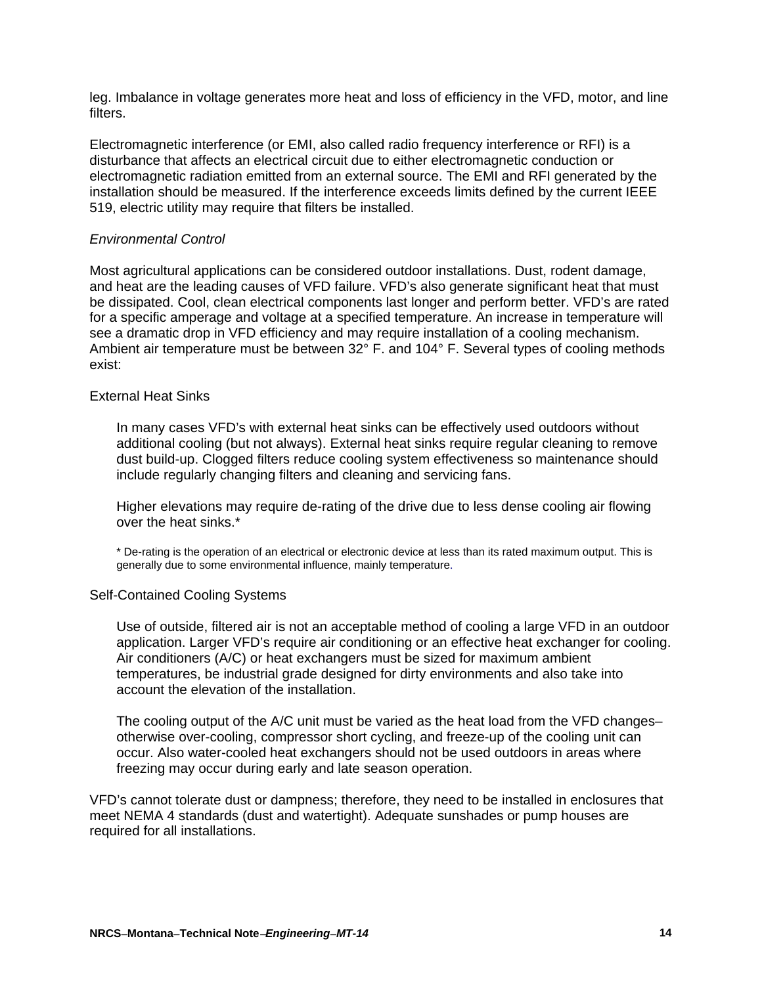leg. Imbalance in voltage generates more heat and loss of efficiency in the VFD, motor, and line filters.

Electromagnetic interference (or EMI, also called radio frequency interference or RFI) is a disturbance that affects an electrical circuit due to either electromagnetic conduction or [electromagnetic radiation](http://en.wikipedia.org/wiki/Electromagnetic_radiation) emitted from an external source. The EMI and RFI generated by the installation should be measured. If the interference exceeds limits defined by the current IEEE 519, electric utility may require that filters be installed.

### *Environmental Control*

Most agricultural applications can be considered outdoor installations. Dust, rodent damage, and heat are the leading causes of VFD failure. VFD's also generate significant heat that must be dissipated. Cool, clean electrical components last longer and perform better. VFD's are rated for a specific amperage and voltage at a specified temperature. An increase in temperature will see a dramatic drop in VFD efficiency and may require installation of a cooling mechanism. Ambient air temperature must be between 32° F. and 104° F. Several types of cooling methods exist:

#### External Heat Sinks

In many cases VFD's with external heat sinks can be effectively used outdoors without additional cooling (but not always). External heat sinks require regular cleaning to remove dust build-up. Clogged filters reduce cooling system effectiveness so maintenance should include regularly changing filters and cleaning and servicing fans.

Higher elevations may require de-rating of the drive due to less dense cooling air flowing over the heat sinks.\*

\* De-rating is the operation of an [electrical](http://en.wikipedia.org/wiki/Electrical_circuit) or [electronic device](http://en.wikipedia.org/wiki/Electronic_device) at less than its rated maximum output. This is generally due to some environmental influence, mainly temperature.

#### Self-Contained Cooling Systems

Use of outside, filtered air is not an acceptable method of cooling a large VFD in an outdoor application. Larger VFD's require air conditioning or an effective heat exchanger for cooling. Air conditioners (A/C) or heat exchangers must be sized for maximum ambient temperatures, be industrial grade designed for dirty environments and also take into account the elevation of the installation.

The cooling output of the A/C unit must be varied as the heat load from the VFD changes– otherwise over-cooling, compressor short cycling, and freeze-up of the cooling unit can occur. Also water-cooled heat exchangers should not be used outdoors in areas where freezing may occur during early and late season operation.

VFD's cannot tolerate dust or dampness; therefore, they need to be installed in enclosures that meet NEMA 4 standards (dust and watertight). Adequate sunshades or pump houses are required for all installations.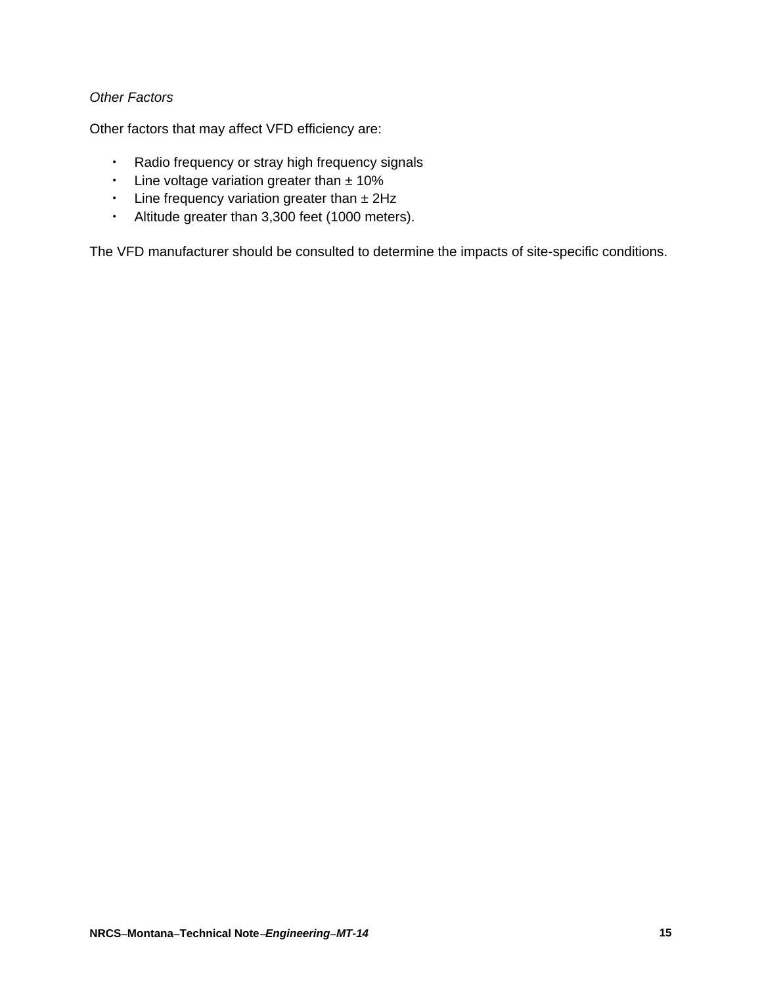# *Other Factors*

Other factors that may affect VFD efficiency are:

- Radio frequency or stray high frequency signals
- Line voltage variation greater than  $± 10\%$
- $\cdot$  Line frequency variation greater than  $\pm$  2Hz
- Altitude greater than 3,300 feet (1000 meters).

The VFD manufacturer should be consulted to determine the impacts of site-specific conditions.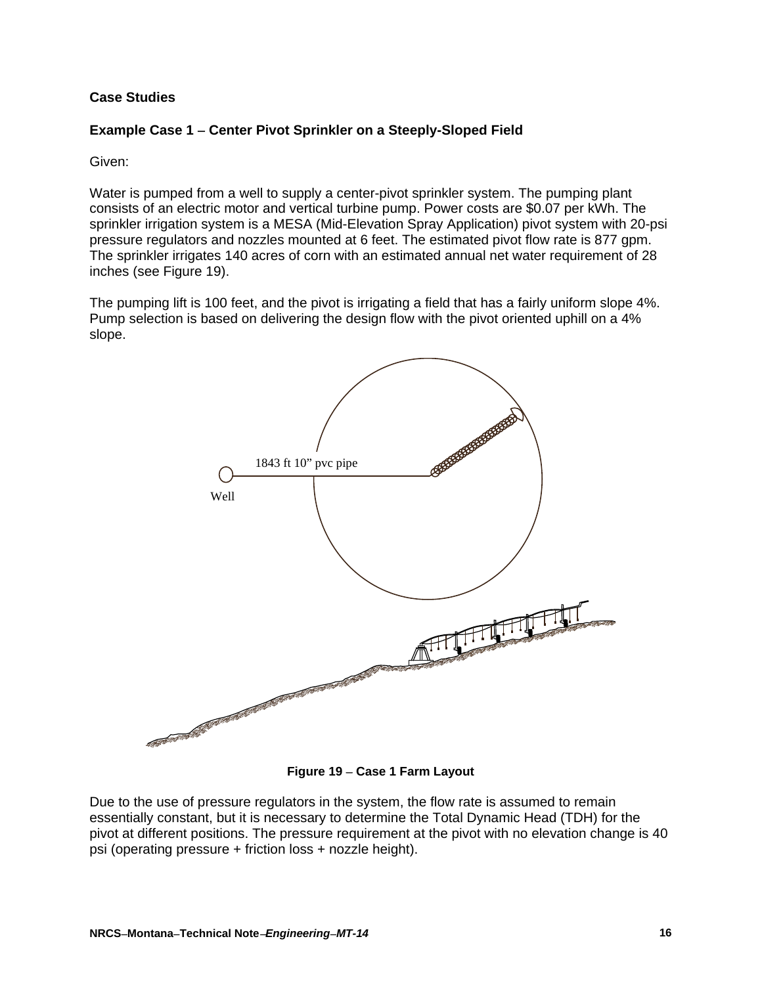# **Case Studies**

## **Example Case 1 Center Pivot Sprinkler on a Steeply-Sloped Field**

### Given:

Water is pumped from a well to supply a center-pivot sprinkler system. The pumping plant consists of an electric motor and vertical turbine pump. Power costs are \$0.07 per kWh. The sprinkler irrigation system is a MESA (Mid-Elevation Spray Application) pivot system with 20-psi pressure regulators and nozzles mounted at 6 feet. The estimated pivot flow rate is 877 gpm. The sprinkler irrigates 140 acres of corn with an estimated annual net water requirement of 28 inches (see Figure 19).

The pumping lift is 100 feet, and the pivot is irrigating a field that has a fairly uniform slope 4%. Pump selection is based on delivering the design flow with the pivot oriented uphill on a 4% slope.



**Figure 19 Case 1 Farm Layout** 

Due to the use of pressure regulators in the system, the flow rate is assumed to remain essentially constant, but it is necessary to determine the Total Dynamic Head (TDH) for the pivot at different positions. The pressure requirement at the pivot with no elevation change is 40 psi (operating pressure + friction loss + nozzle height).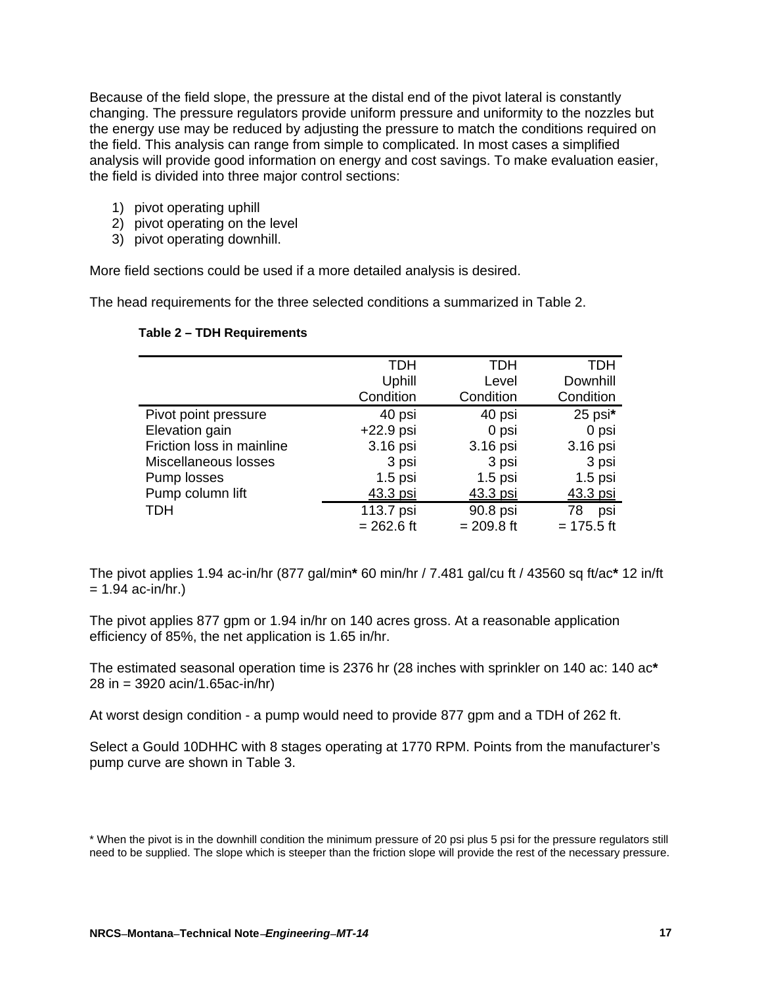Because of the field slope, the pressure at the distal end of the pivot lateral is constantly changing. The pressure regulators provide uniform pressure and uniformity to the nozzles but the energy use may be reduced by adjusting the pressure to match the conditions required on the field. This analysis can range from simple to complicated. In most cases a simplified analysis will provide good information on energy and cost savings. To make evaluation easier, the field is divided into three major control sections:

- 1) pivot operating uphill
- 2) pivot operating on the level
- 3) pivot operating downhill.

More field sections could be used if a more detailed analysis is desired.

The head requirements for the three selected conditions a summarized in Table 2.

#### **Table 2 – TDH Requirements**

|                           | <b>TDH</b>   | TDH          | TDH          |
|---------------------------|--------------|--------------|--------------|
|                           | Uphill       | Level        | Downhill     |
|                           | Condition    | Condition    | Condition    |
| Pivot point pressure      | 40 psi       | 40 psi       | 25 psi*      |
| Elevation gain            | $+22.9$ psi  | 0 psi        | 0 psi        |
| Friction loss in mainline | 3.16 psi     | 3.16 psi     | 3.16 psi     |
| Miscellaneous losses      | 3 psi        | 3 psi        | 3 psi        |
| Pump losses               | $1.5$ psi    | $1.5$ psi    | $1.5$ psi    |
| Pump column lift          | 43.3 psi     | 43.3 psi     | 43.3 psi     |
| <b>TDH</b>                | 113.7 psi    | 90.8 psi     | 78<br>psi    |
|                           | $= 262.6$ ft | $= 209.8$ ft | $= 175.5$ ft |

The pivot applies 1.94 ac-in/hr (877 gal/min**\*** 60 min/hr / 7.481 gal/cu ft / 43560 sq ft/ac**\*** 12 in/ft  $= 1.94$  ac-in/hr.)

The pivot applies 877 gpm or 1.94 in/hr on 140 acres gross. At a reasonable application efficiency of 85%, the net application is 1.65 in/hr.

The estimated seasonal operation time is 2376 hr (28 inches with sprinkler on 140 ac: 140 ac**\***  28 in = 3920 acin/1.65ac-in/hr)

At worst design condition - a pump would need to provide 877 gpm and a TDH of 262 ft.

Select a Gould 10DHHC with 8 stages operating at 1770 RPM. Points from the manufacturer's pump curve are shown in Table 3.

<sup>\*</sup> When the pivot is in the downhill condition the minimum pressure of 20 psi plus 5 psi for the pressure regulators still need to be supplied. The slope which is steeper than the friction slope will provide the rest of the necessary pressure.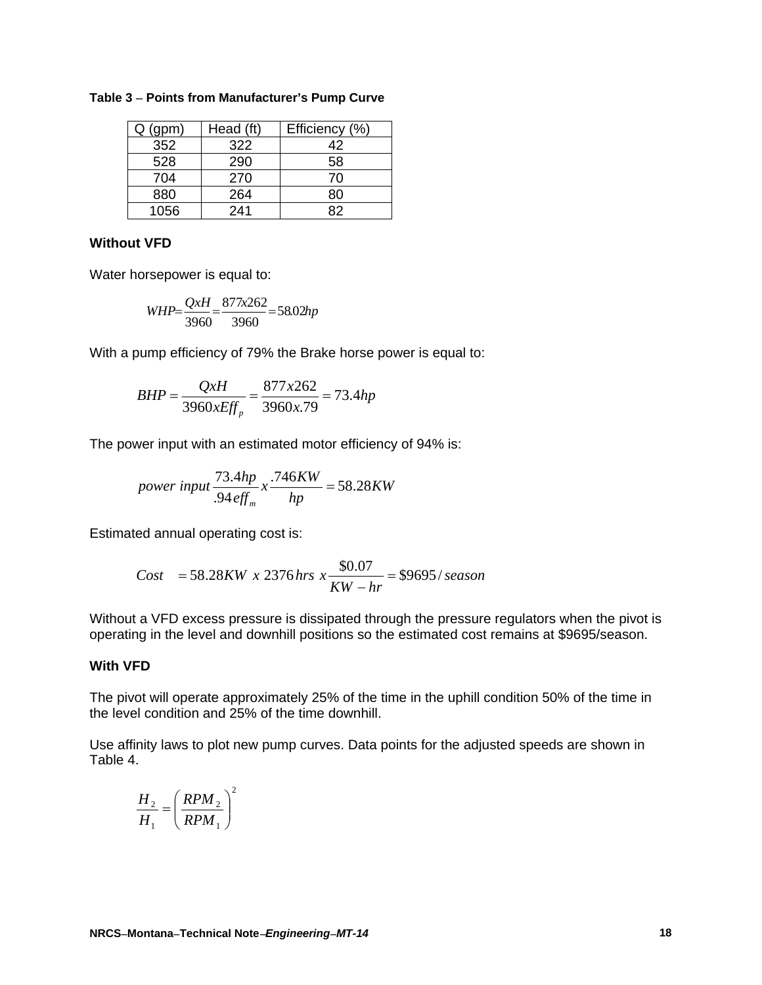| (gpm) | Head (ft) | Efficiency (%) |
|-------|-----------|----------------|
| 352   | 322       | 42             |
| 528   | 290       | 58             |
| 704   | 270       | 70             |
| 880   | 264       | 80             |
| 1056  | 241       |                |

#### **Table 3 Points from Manufacturer's Pump Curve**

#### **Without VFD**

Water horsepower is equal to:

$$
WHP = \frac{QxH}{3960} = \frac{877x262}{3960} = 58.02hp
$$

With a pump efficiency of 79% the Brake horse power is equal to:

$$
BHP = \frac{QxH}{3960xEff_p} = \frac{877x262}{3960x.79} = 73.4hp
$$

The power input with an estimated motor efficiency of 94% is:

power input 
$$
\frac{73.4hp}{.94\text{ eff}_m} \times \frac{.746KW}{hp} = 58.28KW
$$

Estimated annual operating cost is:

Cost = 
$$
58.28KW \times 2376
$$
 hrs  $x \frac{$0.07}{KW - hr} = $9695/\text{ season}$ 

Without a VFD excess pressure is dissipated through the pressure regulators when the pivot is operating in the level and downhill positions so the estimated cost remains at \$9695/season.

### **With VFD**

The pivot will operate approximately 25% of the time in the uphill condition 50% of the time in the level condition and 25% of the time downhill.

Use affinity laws to plot new pump curves. Data points for the adjusted speeds are shown in Table 4.

$$
\frac{H_2}{H_1} = \left(\frac{RPM_2}{RPM_1}\right)^2
$$

 $\overline{a}$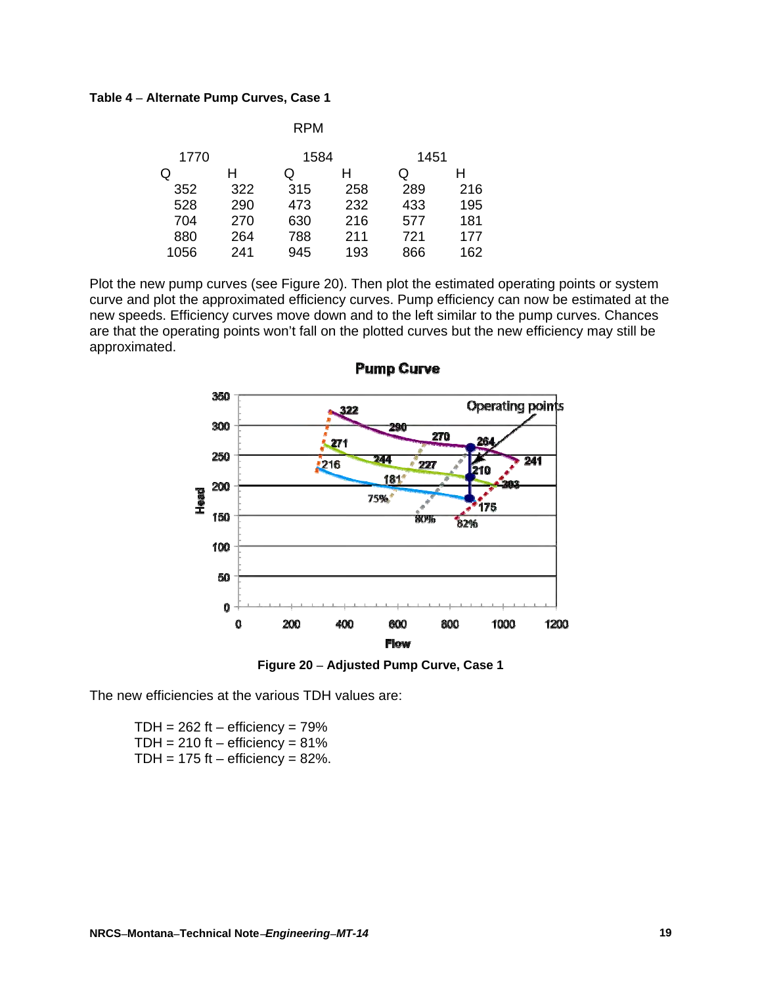#### **Table 4 Alternate Pump Curves, Case 1**

|     | <b>RPM</b> |     |      |     |
|-----|------------|-----|------|-----|
|     |            |     | 1451 |     |
| н   | Q          | н   | Q    | н   |
| 322 | 315        | 258 | 289  | 216 |
| 290 | 473        | 232 | 433  | 195 |
| 270 | 630        | 216 | 577  | 181 |
| 264 | 788        | 211 | 721  | 177 |
| 241 | 945        | 193 | 866  | 162 |
|     |            |     | 1584 |     |

Plot the new pump curves (see Figure 20). Then plot the estimated operating points or system curve and plot the approximated efficiency curves. Pump efficiency can now be estimated at the new speeds. Efficiency curves move down and to the left similar to the pump curves. Chances are that the operating points won't fall on the plotted curves but the new efficiency may still be approximated.



**Pump Curve** 

**Figure 20 Adjusted Pump Curve, Case 1** 

The new efficiencies at the various TDH values are:

TDH =  $262$  ft – efficiency =  $79\%$ TDH =  $210$  ft – efficiency =  $81\%$ TDH =  $175$  ft – efficiency =  $82\%$ .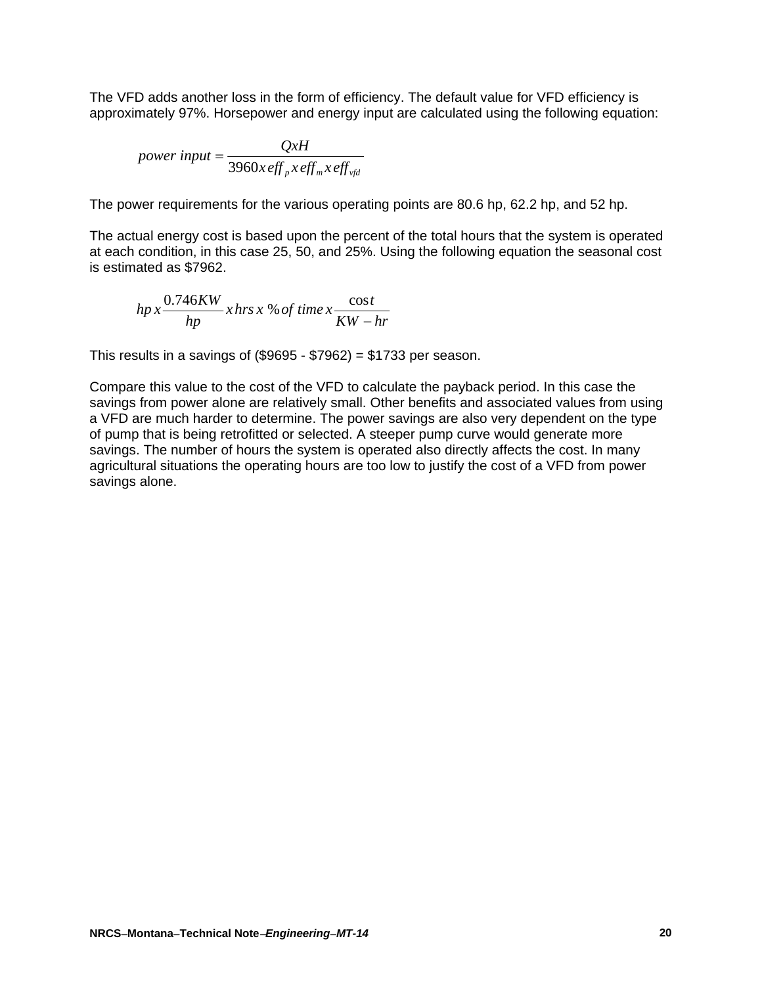The VFD adds another loss in the form of efficiency. The default value for VFD efficiency is approximately 97%. Horsepower and energy input are calculated using the following equation:

power input = 
$$
\frac{QxH}{3960x\,eff_{p}x\,eff_{m}x\,eff_{yfd}}
$$

The power requirements for the various operating points are 80.6 hp, 62.2 hp, and 52 hp.

The actual energy cost is based upon the percent of the total hours that the system is operated at each condition, in this case 25, 50, and 25%. Using the following equation the seasonal cost is estimated as \$7962.

$$
hp x \frac{0.746KW}{hp} x hrs x % of time x \frac{cost}{KW - hr}
$$

This results in a savings of  $(\$9695 - \$7962) = \$1733$  per season.

Compare this value to the cost of the VFD to calculate the payback period. In this case the savings from power alone are relatively small. Other benefits and associated values from using a VFD are much harder to determine. The power savings are also very dependent on the type of pump that is being retrofitted or selected. A steeper pump curve would generate more savings. The number of hours the system is operated also directly affects the cost. In many agricultural situations the operating hours are too low to justify the cost of a VFD from power savings alone.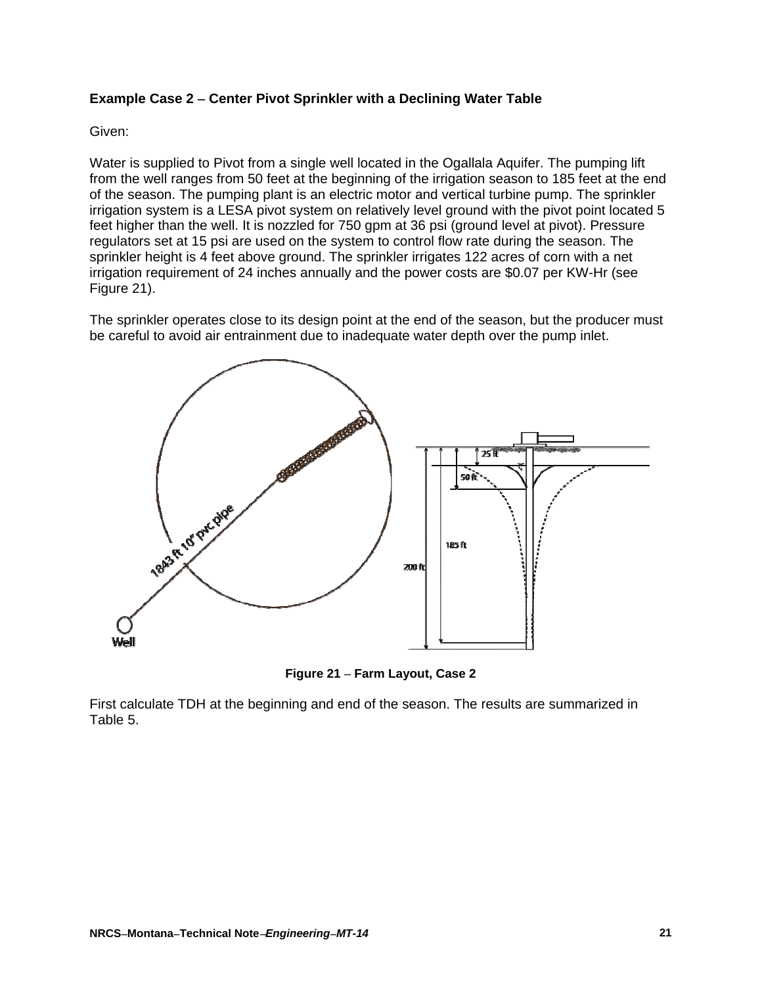## **Example Case 2 Center Pivot Sprinkler with a Declining Water Table**

### Given:

Water is supplied to Pivot from a single well located in the Ogallala Aquifer. The pumping lift from the well ranges from 50 feet at the beginning of the irrigation season to 185 feet at the end of the season. The pumping plant is an electric motor and vertical turbine pump. The sprinkler irrigation system is a LESA pivot system on relatively level ground with the pivot point located 5 feet higher than the well. It is nozzled for 750 gpm at 36 psi (ground level at pivot). Pressure regulators set at 15 psi are used on the system to control flow rate during the season. The sprinkler height is 4 feet above ground. The sprinkler irrigates 122 acres of corn with a net irrigation requirement of 24 inches annually and the power costs are \$0.07 per KW-Hr (see Figure 21).

The sprinkler operates close to its design point at the end of the season, but the producer must be careful to avoid air entrainment due to inadequate water depth over the pump inlet.



**Figure 21 Farm Layout, Case 2** 

First calculate TDH at the beginning and end of the season. The results are summarized in Table 5.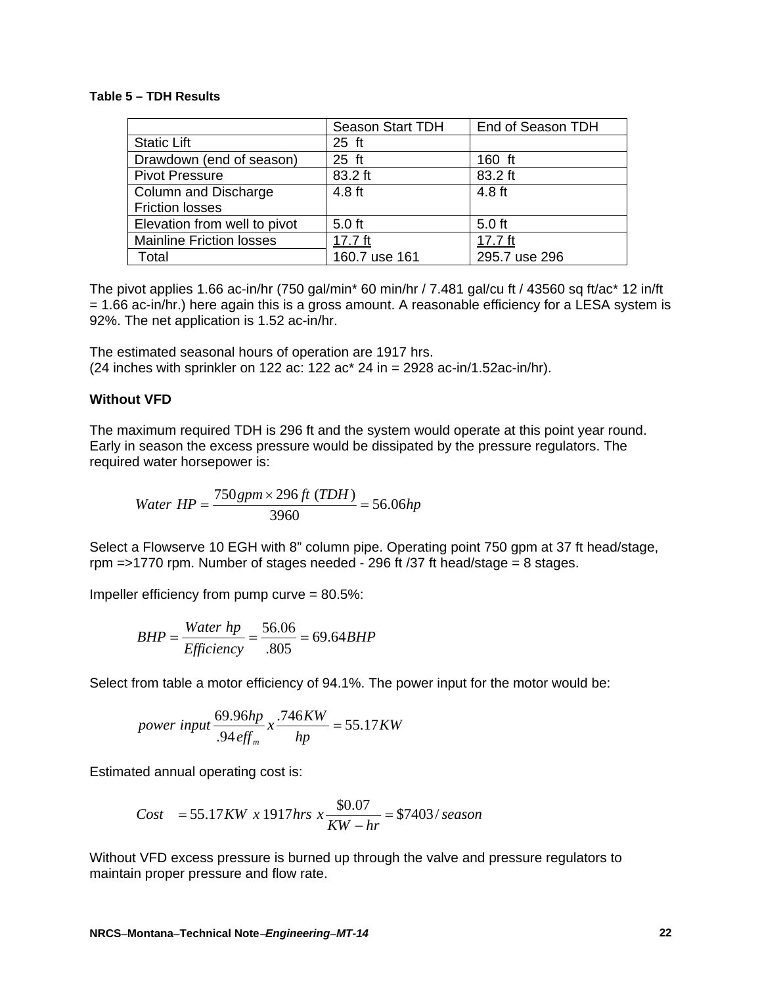#### **Table 5 – TDH Results**

|                                 | Season Start TDH | End of Season TDH |
|---------------------------------|------------------|-------------------|
| <b>Static Lift</b>              | $25$ ft          |                   |
| Drawdown (end of season)        | $25$ ft          | 160 ft            |
| <b>Pivot Pressure</b>           | 83.2 ft          | 83.2 ft           |
| Column and Discharge            | 4.8 ft           | 4.8 ft            |
| <b>Friction losses</b>          |                  |                   |
| Elevation from well to pivot    | $5.0$ ft         | $5.0$ ft          |
| <b>Mainline Friction losses</b> | $17.7$ ft        | 17.7 $ft$         |
| Total                           | 160.7 use 161    | 295.7 use 296     |

The pivot applies 1.66 ac-in/hr (750 gal/min\* 60 min/hr / 7.481 gal/cu ft / 43560 sq ft/ac\* 12 in/ft  $= 1.66$  ac-in/hr.) here again this is a gross amount. A reasonable efficiency for a LESA system is 92%. The net application is 1.52 ac-in/hr.

The estimated seasonal hours of operation are 1917 hrs. (24 inches with sprinkler on 122 ac: 122 ac\* 24 in = 2928 ac-in/1.52ac-in/hr).

#### **Without VFD**

The maximum required TDH is 296 ft and the system would operate at this point year round. Early in season the excess pressure would be dissipated by the pressure regulators. The required water horsepower is:

*Water*  $HP = \frac{750 \, gpm \times 296 \, ft \, (TDH)}{28.66 \, \text{m}} = 56.06 \, hp$ 3960  $=\frac{750 \, gpm \times 296 \, ft \, (TDH)}{2000}$ 

Select a Flowserve 10 EGH with 8" column pipe. Operating point 750 gpm at 37 ft head/stage, rpm =>1770 rpm. Number of stages needed - 296 ft /37 ft head/stage = 8 stages.

Impeller efficiency from pump curve = 80.5%:

$$
BHP = \frac{Water \; hp}{Efficiency} = \frac{56.06}{.805} = 69.64 BHP
$$

Select from table a motor efficiency of 94.1%. The power input for the motor would be:

power input 
$$
\frac{69.96hp}{.94\text{ eff}_m} x \frac{.746KW}{hp} = 55.17KW
$$

Estimated annual operating cost is:

Cost = 55.17KW x 1917hrs 
$$
x \frac{$0.07}{KW - hr}
$$
 = \$7403/ season

Without VFD excess pressure is burned up through the valve and pressure regulators to maintain proper pressure and flow rate.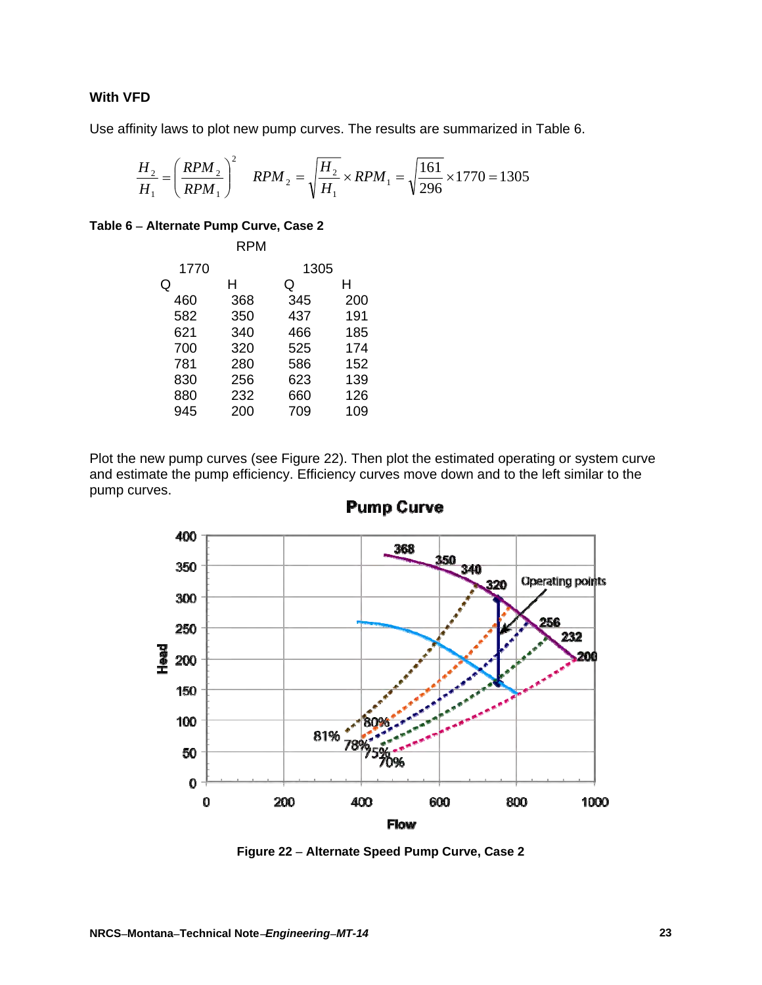# **With VFD**

Use affinity laws to plot new pump curves. The results are summarized in Table 6.

$$
\frac{H_2}{H_1} = \left(\frac{RPM_2}{RPM_1}\right)^2 \quad RPM_2 = \sqrt{\frac{H_2}{H_1}} \times RPM_1 = \sqrt{\frac{161}{296}} \times 1770 = 1305
$$

### **Table 6 Alternate Pump Curve, Case 2**

|      | RPM |      |     |
|------|-----|------|-----|
| 1770 |     | 1305 |     |
| Q    | н   | Q    | н   |
| 460  | 368 | 345  | 200 |
| 582  | 350 | 437  | 191 |
| 621  | 340 | 466  | 185 |
| 700  | 320 | 525  | 174 |
| 781  | 280 | 586  | 152 |
| 830  | 256 | 623  | 139 |
| 880  | 232 | 660  | 126 |
| 945  | 200 | 709  | 109 |

Plot the new pump curves (see Figure 22). Then plot the estimated operating or system curve and estimate the pump efficiency. Efficiency curves move down and to the left similar to the pump curves.



**Pump Curve** 

**Figure 22 Alternate Speed Pump Curve, Case 2**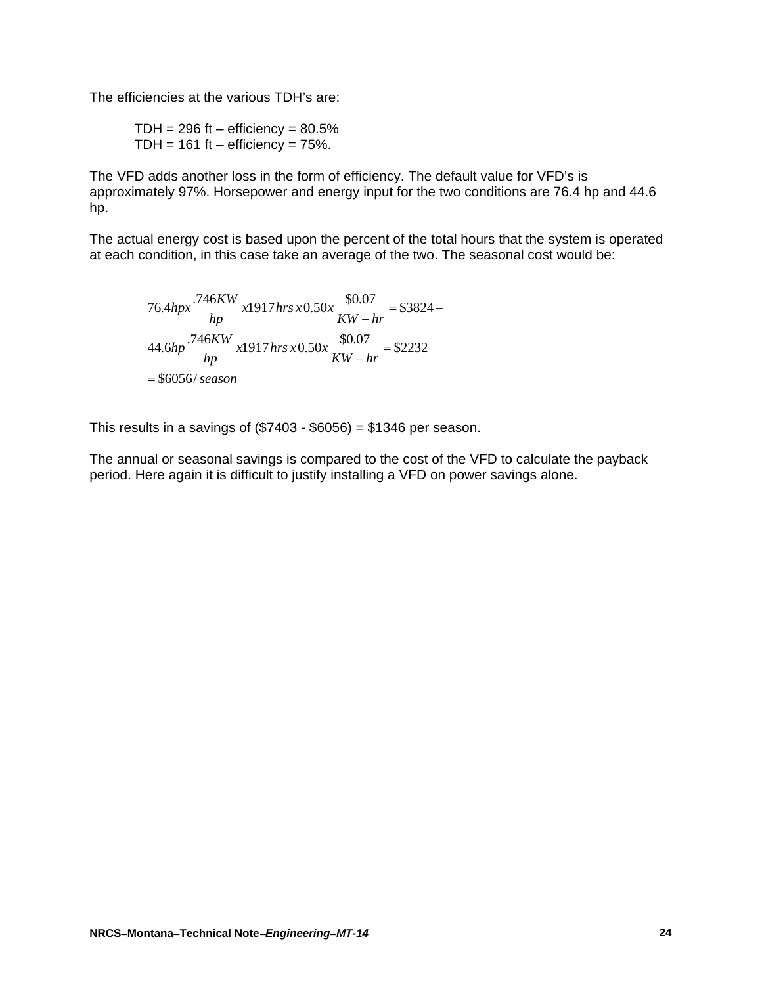The efficiencies at the various TDH's are:

TDH =  $296$  ft – efficiency =  $80.5\%$ TDH =  $161$  ft – efficiency =  $75\%$ .

The VFD adds another loss in the form of efficiency. The default value for VFD's is approximately 97%. Horsepower and energy input for the two conditions are 76.4 hp and 44.6 hp.

The actual energy cost is based upon the percent of the total hours that the system is operated at each condition, in this case take an average of the two. The seasonal cost would be:

$$
76.4hp x \frac{.746KW}{hp} x1917 hrs x 0.50x \frac{$0.07}{KW - hr} = $3824 +
$$
  

$$
44.6hp \frac{.746KW}{hp} x1917 hrs x 0.50x \frac{$0.07}{KW - hr} = $2232
$$
  
= \$6056/ season

This results in a savings of  $(\$7403 - \$6056) = \$1346$  per season.

The annual or seasonal savings is compared to the cost of the VFD to calculate the payback period. Here again it is difficult to justify installing a VFD on power savings alone.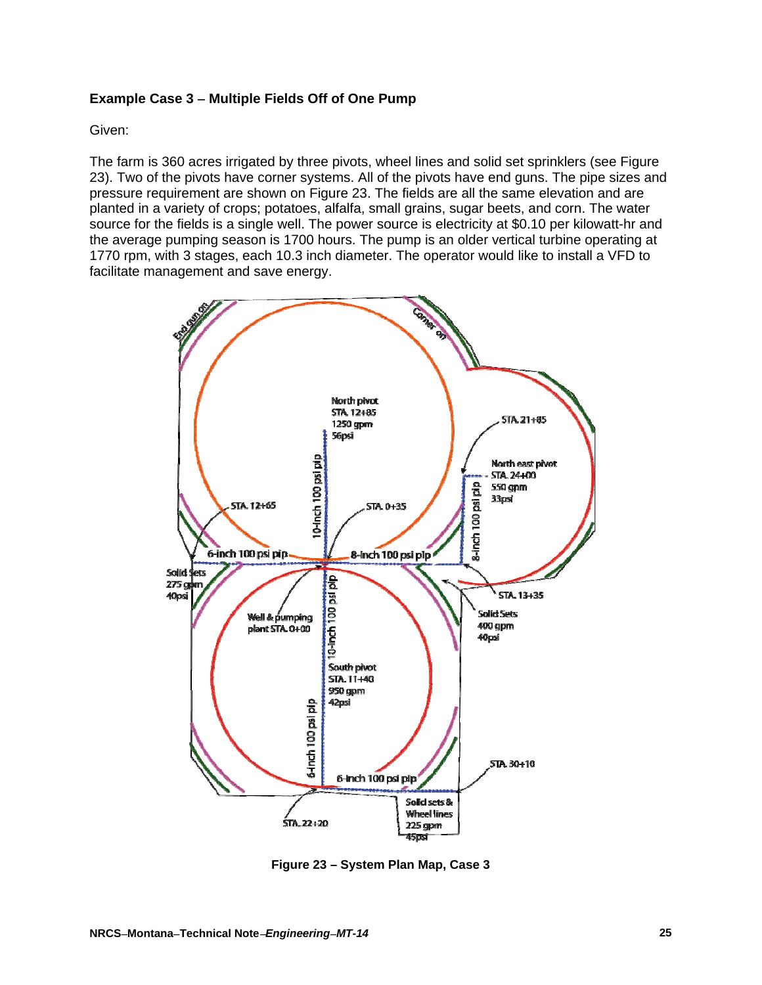### **Example Case 3 Multiple Fields Off of One Pump**

Given:

The farm is 360 acres irrigated by three pivots, wheel lines and solid set sprinklers (see Figure 23). Two of the pivots have corner systems. All of the pivots have end guns. The pipe sizes and pressure requirement are shown on Figure 23. The fields are all the same elevation and are planted in a variety of crops; potatoes, alfalfa, small grains, sugar beets, and corn. The water source for the fields is a single well. The power source is electricity at \$0.10 per kilowatt-hr and the average pumping season is 1700 hours. The pump is an older vertical turbine operating at 1770 rpm, with 3 stages, each 10.3 inch diameter. The operator would like to install a VFD to facilitate management and save energy.



**Figure 23 – System Plan Map, Case 3**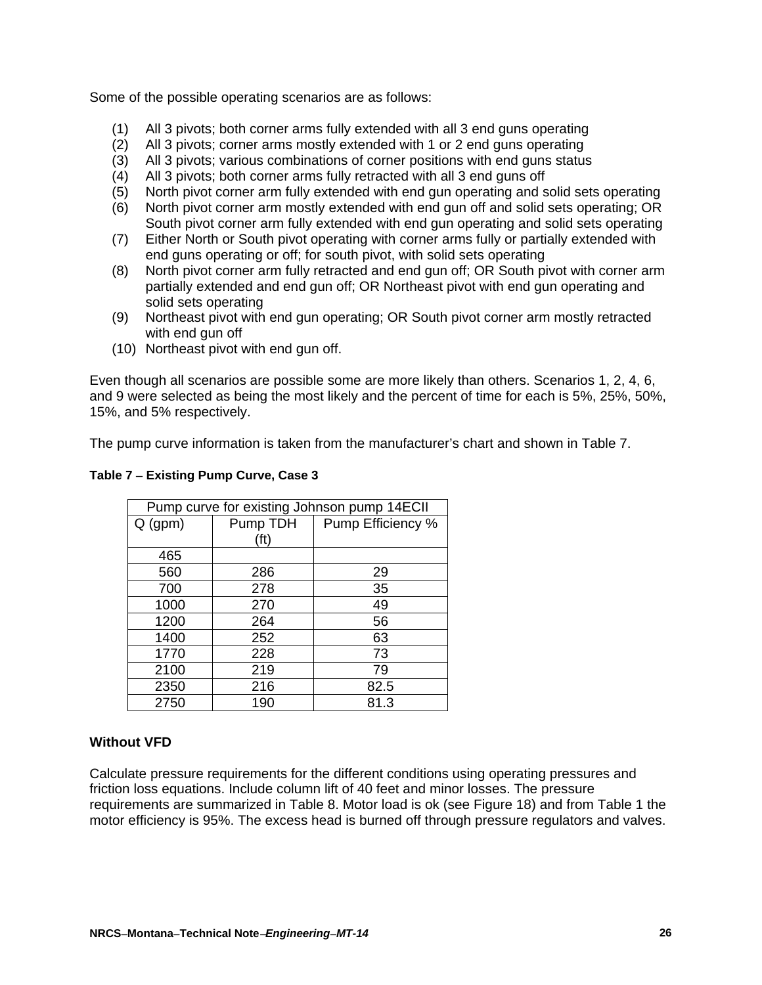Some of the possible operating scenarios are as follows:

- (1) All 3 pivots; both corner arms fully extended with all 3 end guns operating
- (2) All 3 pivots; corner arms mostly extended with 1 or 2 end guns operating
- (3) All 3 pivots; various combinations of corner positions with end guns status
- (4) All 3 pivots; both corner arms fully retracted with all 3 end guns off
- (5) North pivot corner arm fully extended with end gun operating and solid sets operating
- (6) North pivot corner arm mostly extended with end gun off and solid sets operating; OR South pivot corner arm fully extended with end gun operating and solid sets operating
- (7) Either North or South pivot operating with corner arms fully or partially extended with end guns operating or off; for south pivot, with solid sets operating
- (8) North pivot corner arm fully retracted and end gun off; OR South pivot with corner arm partially extended and end gun off; OR Northeast pivot with end gun operating and solid sets operating
- (9) Northeast pivot with end gun operating; OR South pivot corner arm mostly retracted with end gun off
- (10) Northeast pivot with end gun off.

Even though all scenarios are possible some are more likely than others. Scenarios 1, 2, 4, 6, and 9 were selected as being the most likely and the percent of time for each is 5%, 25%, 50%, 15%, and 5% respectively.

The pump curve information is taken from the manufacturer's chart and shown in Table 7.

| Pump curve for existing Johnson pump 14ECII |          |                   |  |  |
|---------------------------------------------|----------|-------------------|--|--|
| $Q$ (gpm)                                   | Pump TDH | Pump Efficiency % |  |  |
|                                             | (ft)     |                   |  |  |
| 465                                         |          |                   |  |  |
| 560                                         | 286      | 29                |  |  |
| 700                                         | 278      | 35                |  |  |
| 1000                                        | 270      | 49                |  |  |
| 1200                                        | 264      | 56                |  |  |
| 1400                                        | 252      | 63                |  |  |
| 1770                                        | 228      | 73                |  |  |
| 2100                                        | 219      | 79                |  |  |
| 2350                                        | 216      | 82.5              |  |  |
| 2750                                        | 190      | 81.3              |  |  |

#### **Table 7 Existing Pump Curve, Case 3**

## **Without VFD**

Calculate pressure requirements for the different conditions using operating pressures and friction loss equations. Include column lift of 40 feet and minor losses. The pressure requirements are summarized in Table 8. Motor load is ok (see Figure 18) and from Table 1 the motor efficiency is 95%. The excess head is burned off through pressure regulators and valves.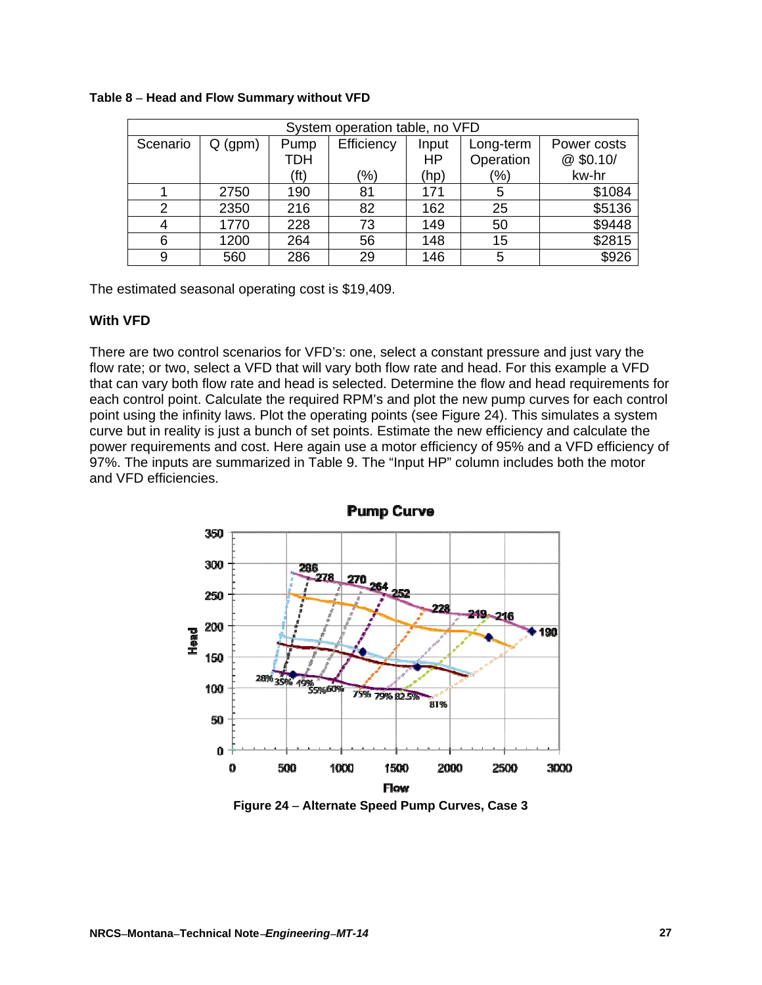| System operation table, no VFD |           |            |               |           |               |             |
|--------------------------------|-----------|------------|---------------|-----------|---------------|-------------|
| Scenario                       | $Q$ (gpm) | Pump       | Efficiency    | Input     | Long-term     | Power costs |
|                                |           | <b>TDH</b> |               | <b>HP</b> | Operation     | @ \$0.10/   |
|                                |           | (ft)       | $\frac{9}{6}$ | (hp)      | $\frac{1}{2}$ | kw-hr       |
|                                | 2750      | 190        | 81            | 171       | 5             | \$1084      |
|                                | 2350      | 216        | 82            | 162       | 25            | \$5136      |
|                                | 1770      | 228        | 73            | 149       | 50            | \$9448      |
| 6                              | 1200      | 264        | 56            | 148       | 15            | \$2815      |
|                                | 560       | 286        | 29            | 146       | 5             | \$926       |

#### **Table 8 Head and Flow Summary without VFD**

The estimated seasonal operating cost is \$19,409.

#### **With VFD**

There are two control scenarios for VFD's: one, select a constant pressure and just vary the flow rate; or two, select a VFD that will vary both flow rate and head. For this example a VFD that can vary both flow rate and head is selected. Determine the flow and head requirements for each control point. Calculate the required RPM's and plot the new pump curves for each control point using the infinity laws. Plot the operating points (see Figure 24). This simulates a system curve but in reality is just a bunch of set points. Estimate the new efficiency and calculate the power requirements and cost. Here again use a motor efficiency of 95% and a VFD efficiency of 97%. The inputs are summarized in Table 9. The "Input HP" column includes both the motor and VFD efficiencies.



**Figure 24 Alternate Speed Pump Curves, Case 3**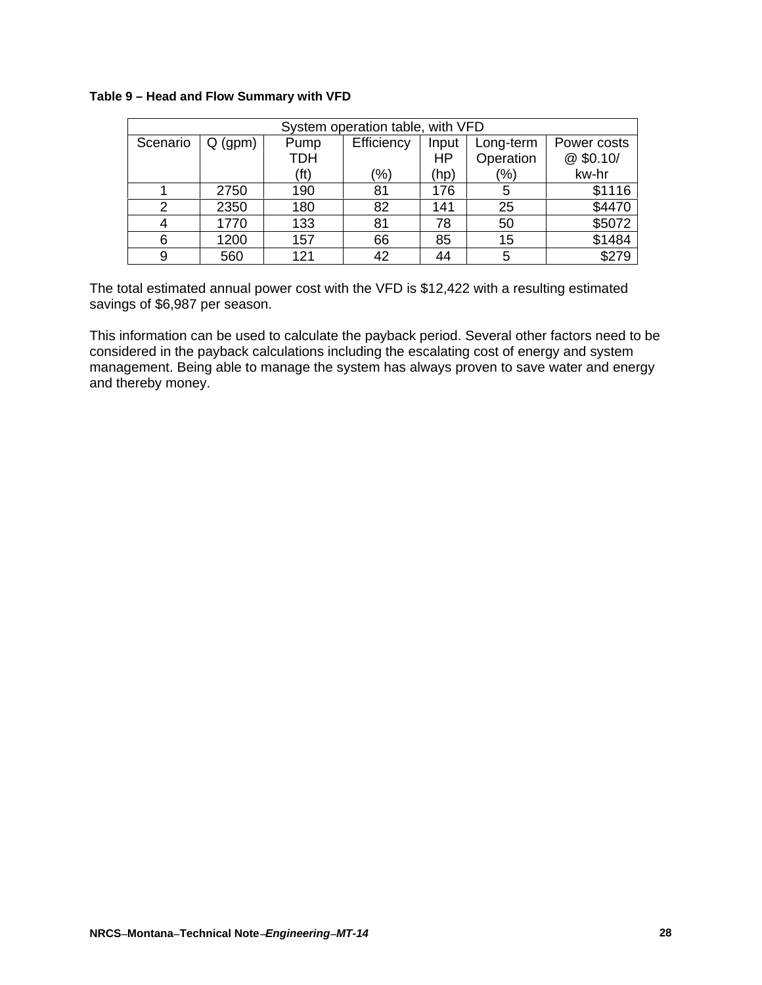#### **Table 9 – Head and Flow Summary with VFD**

| System operation table, with VFD |           |            |            |           |               |             |
|----------------------------------|-----------|------------|------------|-----------|---------------|-------------|
| Scenario                         | $Q$ (gpm) | Pump       | Efficiency | Input     | Long-term     | Power costs |
|                                  |           | <b>TDH</b> |            | <b>HP</b> | Operation     | @ \$0.10/   |
|                                  |           | (ft)       | (%)        | (hp)      | $\frac{1}{2}$ | kw-hr       |
|                                  | 2750      | 190        | 81         | 176       | 5             | \$1116      |
| っ                                | 2350      | 180        | 82         | 141       | 25            | \$4470      |
|                                  | 1770      | 133        | 81         | 78        | 50            | \$5072      |
| 6                                | 1200      | 157        | 66         | 85        | 15            | \$1484      |
| 9                                | 560       | 121        | 42         | 44        |               | \$279       |

The total estimated annual power cost with the VFD is \$12,422 with a resulting estimated savings of \$6,987 per season.

This information can be used to calculate the payback period. Several other factors need to be considered in the payback calculations including the escalating cost of energy and system management. Being able to manage the system has always proven to save water and energy and thereby money.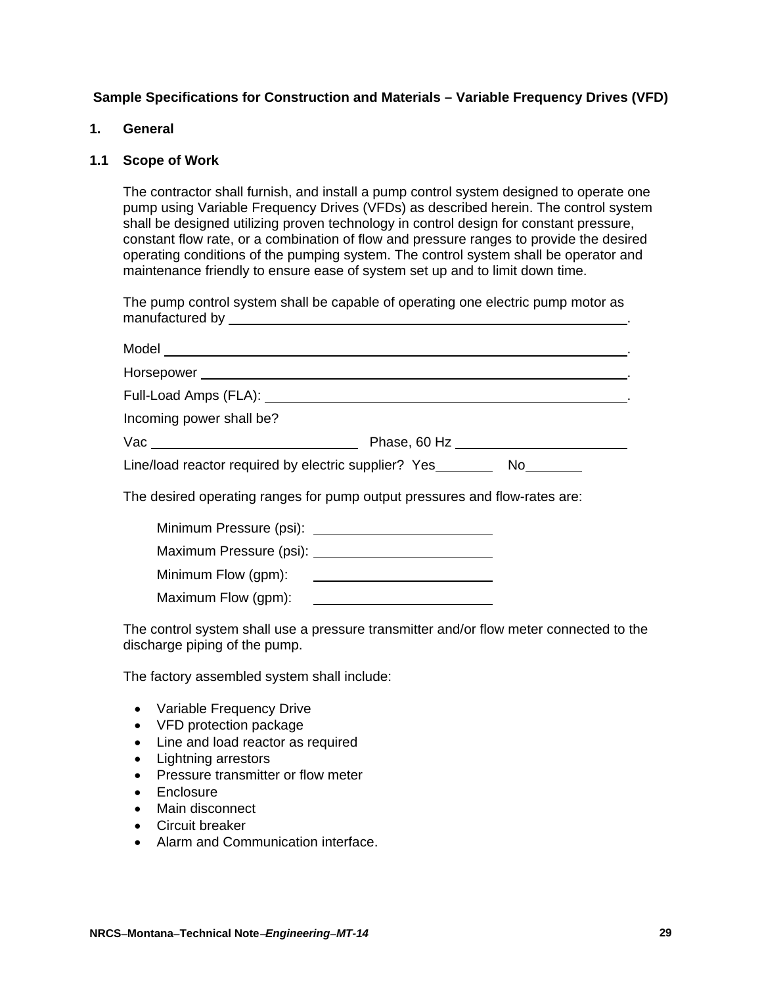## **Sample Specifications for Construction and Materials – Variable Frequency Drives (VFD)**

#### **1. General**

### **1.1 Scope of Work**

The contractor shall furnish, and install a pump control system designed to operate one pump using Variable Frequency Drives (VFDs) as described herein. The control system shall be designed utilizing proven technology in control design for constant pressure, constant flow rate, or a combination of flow and pressure ranges to provide the desired operating conditions of the pumping system. The control system shall be operator and maintenance friendly to ensure ease of system set up and to limit down time.

The pump control system shall be capable of operating one electric pump motor as manufactured by **EXECUTE:**  $\frac{1}{2}$  and  $\frac{1}{2}$  and  $\frac{1}{2}$  and  $\frac{1}{2}$  and  $\frac{1}{2}$  and  $\frac{1}{2}$  and  $\frac{1}{2}$  and  $\frac{1}{2}$  and  $\frac{1}{2}$  and  $\frac{1}{2}$  and  $\frac{1}{2}$  and  $\frac{1}{2}$  and  $\frac{1}{2}$  and  $\frac{1}{2}$  and

| Incoming power shall be? |                                                                             |
|--------------------------|-----------------------------------------------------------------------------|
|                          | Phase, 60 Hz _________________________                                      |
|                          | Line/load reactor required by electric supplier? Yes___________ No_________ |
|                          | The desired operating ranges for pump output pressures and flow-rates are:  |
|                          |                                                                             |
|                          |                                                                             |
|                          |                                                                             |
|                          |                                                                             |

The control system shall use a pressure transmitter and/or flow meter connected to the discharge piping of the pump.

The factory assembled system shall include:

- Variable Frequency Drive
- VFD protection package
- Line and load reactor as required
- Lightning arrestors
- Pressure transmitter or flow meter
- Enclosure
- Main disconnect
- Circuit breaker
- Alarm and Communication interface.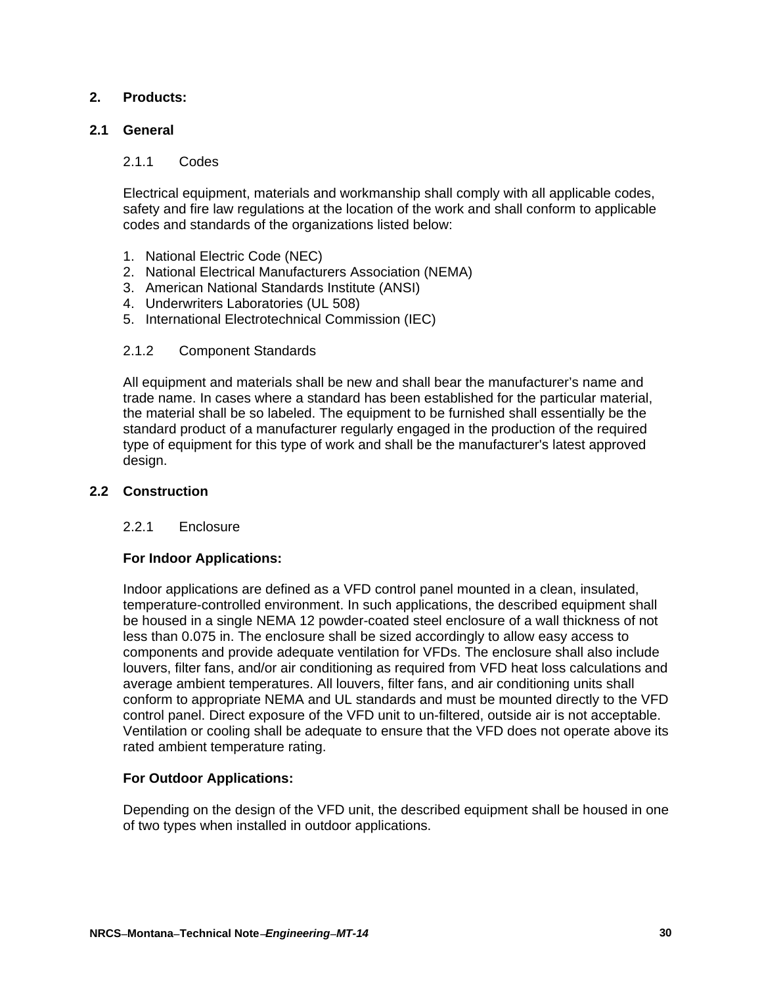## **2. Products:**

# **2.1 General**

### 2.1.1 Codes

Electrical equipment, materials and workmanship shall comply with all applicable codes, safety and fire law regulations at the location of the work and shall conform to applicable codes and standards of the organizations listed below:

- 1. National Electric Code (NEC)
- 2. National Electrical Manufacturers Association (NEMA)
- 3. American National Standards Institute (ANSI)
- 4. Underwriters Laboratories (UL 508)
- 5. International Electrotechnical Commission (IEC)

### 2.1.2 Component Standards

All equipment and materials shall be new and shall bear the manufacturer's name and trade name. In cases where a standard has been established for the particular material, the material shall be so labeled. The equipment to be furnished shall essentially be the standard product of a manufacturer regularly engaged in the production of the required type of equipment for this type of work and shall be the manufacturer's latest approved design.

### **2.2 Construction**

#### 2.2.1 Enclosure

## **For Indoor Applications:**

Indoor applications are defined as a VFD control panel mounted in a clean, insulated, temperature-controlled environment. In such applications, the described equipment shall be housed in a single NEMA 12 powder-coated steel enclosure of a wall thickness of not less than 0.075 in. The enclosure shall be sized accordingly to allow easy access to components and provide adequate ventilation for VFDs. The enclosure shall also include louvers, filter fans, and/or air conditioning as required from VFD heat loss calculations and average ambient temperatures. All louvers, filter fans, and air conditioning units shall conform to appropriate NEMA and UL standards and must be mounted directly to the VFD control panel. Direct exposure of the VFD unit to un-filtered, outside air is not acceptable. Ventilation or cooling shall be adequate to ensure that the VFD does not operate above its rated ambient temperature rating.

#### **For Outdoor Applications:**

Depending on the design of the VFD unit, the described equipment shall be housed in one of two types when installed in outdoor applications.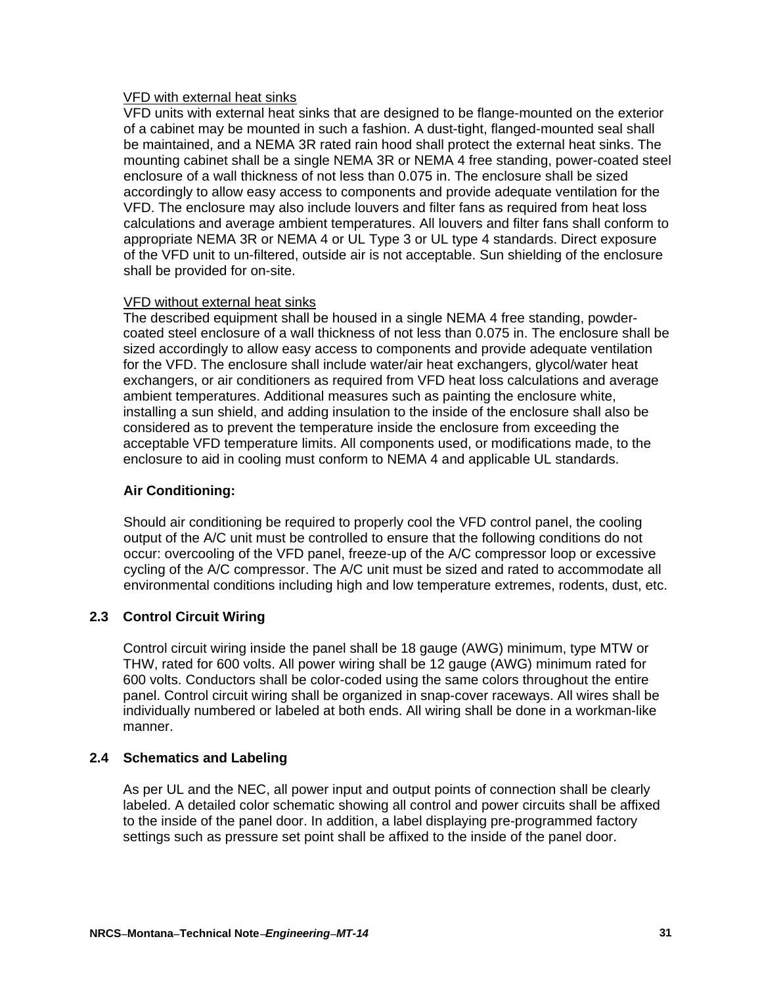### VFD with external heat sinks

VFD units with external heat sinks that are designed to be flange-mounted on the exterior of a cabinet may be mounted in such a fashion. A dust-tight, flanged-mounted seal shall be maintained, and a NEMA 3R rated rain hood shall protect the external heat sinks. The mounting cabinet shall be a single NEMA 3R or NEMA 4 free standing, power-coated steel enclosure of a wall thickness of not less than 0.075 in. The enclosure shall be sized accordingly to allow easy access to components and provide adequate ventilation for the VFD. The enclosure may also include louvers and filter fans as required from heat loss calculations and average ambient temperatures. All louvers and filter fans shall conform to appropriate NEMA 3R or NEMA 4 or UL Type 3 or UL type 4 standards. Direct exposure of the VFD unit to un-filtered, outside air is not acceptable. Sun shielding of the enclosure shall be provided for on-site.

## VFD without external heat sinks

The described equipment shall be housed in a single NEMA 4 free standing, powdercoated steel enclosure of a wall thickness of not less than 0.075 in. The enclosure shall be sized accordingly to allow easy access to components and provide adequate ventilation for the VFD. The enclosure shall include water/air heat exchangers, glycol/water heat exchangers, or air conditioners as required from VFD heat loss calculations and average ambient temperatures. Additional measures such as painting the enclosure white, installing a sun shield, and adding insulation to the inside of the enclosure shall also be considered as to prevent the temperature inside the enclosure from exceeding the acceptable VFD temperature limits. All components used, or modifications made, to the enclosure to aid in cooling must conform to NEMA 4 and applicable UL standards.

# **Air Conditioning:**

Should air conditioning be required to properly cool the VFD control panel, the cooling output of the A/C unit must be controlled to ensure that the following conditions do not occur: overcooling of the VFD panel, freeze-up of the A/C compressor loop or excessive cycling of the A/C compressor. The A/C unit must be sized and rated to accommodate all environmental conditions including high and low temperature extremes, rodents, dust, etc.

# **2.3 Control Circuit Wiring**

Control circuit wiring inside the panel shall be 18 gauge (AWG) minimum, type MTW or THW, rated for 600 volts. All power wiring shall be 12 gauge (AWG) minimum rated for 600 volts. Conductors shall be color-coded using the same colors throughout the entire panel. Control circuit wiring shall be organized in snap-cover raceways. All wires shall be individually numbered or labeled at both ends. All wiring shall be done in a workman-like manner.

# **2.4 Schematics and Labeling**

As per UL and the NEC, all power input and output points of connection shall be clearly labeled. A detailed color schematic showing all control and power circuits shall be affixed to the inside of the panel door. In addition, a label displaying pre-programmed factory settings such as pressure set point shall be affixed to the inside of the panel door.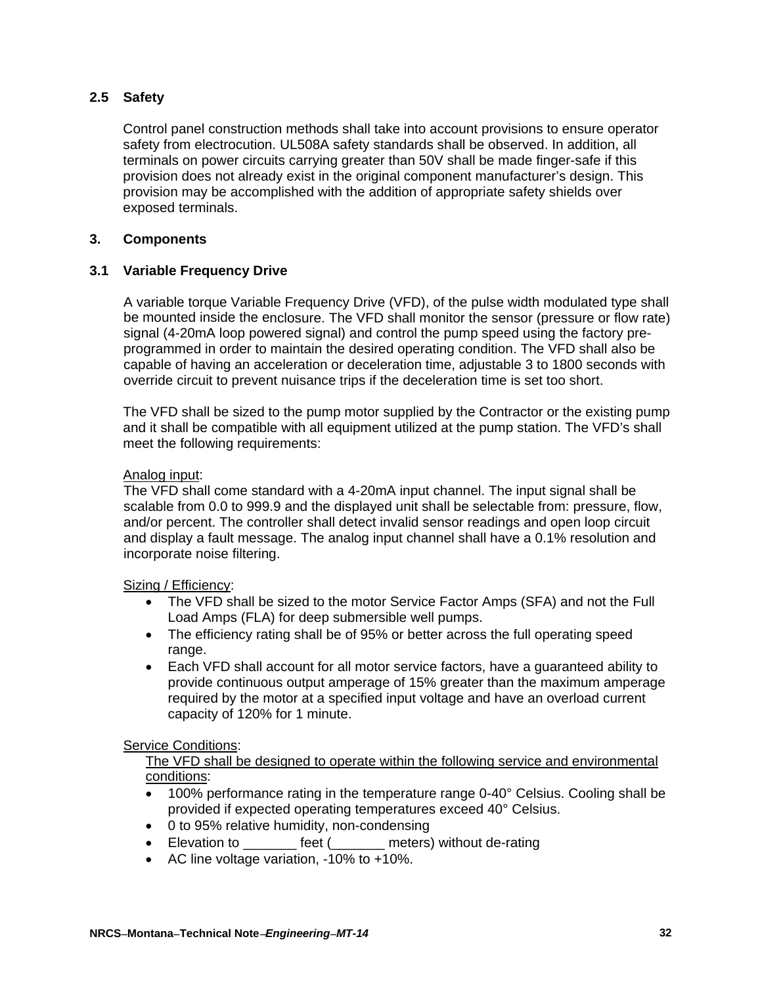## **2.5 Safety**

Control panel construction methods shall take into account provisions to ensure operator safety from electrocution. UL508A safety standards shall be observed. In addition, all terminals on power circuits carrying greater than 50V shall be made finger-safe if this provision does not already exist in the original component manufacturer's design. This provision may be accomplished with the addition of appropriate safety shields over exposed terminals.

### **3. Components**

### **3.1 Variable Frequency Drive**

A variable torque Variable Frequency Drive (VFD), of the pulse width modulated type shall be mounted inside the enclosure. The VFD shall monitor the sensor (pressure or flow rate) signal (4-20mA loop powered signal) and control the pump speed using the factory preprogrammed in order to maintain the desired operating condition. The VFD shall also be capable of having an acceleration or deceleration time, adjustable 3 to 1800 seconds with override circuit to prevent nuisance trips if the deceleration time is set too short.

The VFD shall be sized to the pump motor supplied by the Contractor or the existing pump and it shall be compatible with all equipment utilized at the pump station. The VFD's shall meet the following requirements:

#### Analog input:

The VFD shall come standard with a 4-20mA input channel. The input signal shall be scalable from 0.0 to 999.9 and the displayed unit shall be selectable from: pressure, flow, and/or percent. The controller shall detect invalid sensor readings and open loop circuit and display a fault message. The analog input channel shall have a 0.1% resolution and incorporate noise filtering.

#### Sizing / Efficiency:

- The VFD shall be sized to the motor Service Factor Amps (SFA) and not the Full Load Amps (FLA) for deep submersible well pumps.
- The efficiency rating shall be of 95% or better across the full operating speed range.
- Each VFD shall account for all motor service factors, have a guaranteed ability to provide continuous output amperage of 15% greater than the maximum amperage required by the motor at a specified input voltage and have an overload current capacity of 120% for 1 minute.

#### Service Conditions:

The VFD shall be designed to operate within the following service and environmental conditions:

- 100% performance rating in the temperature range 0-40° Celsius. Cooling shall be provided if expected operating temperatures exceed 40° Celsius.
- 0 to 95% relative humidity, non-condensing
- Elevation to **Elevation** to **the feet** ( and meters) without de-rating
- AC line voltage variation, -10% to +10%.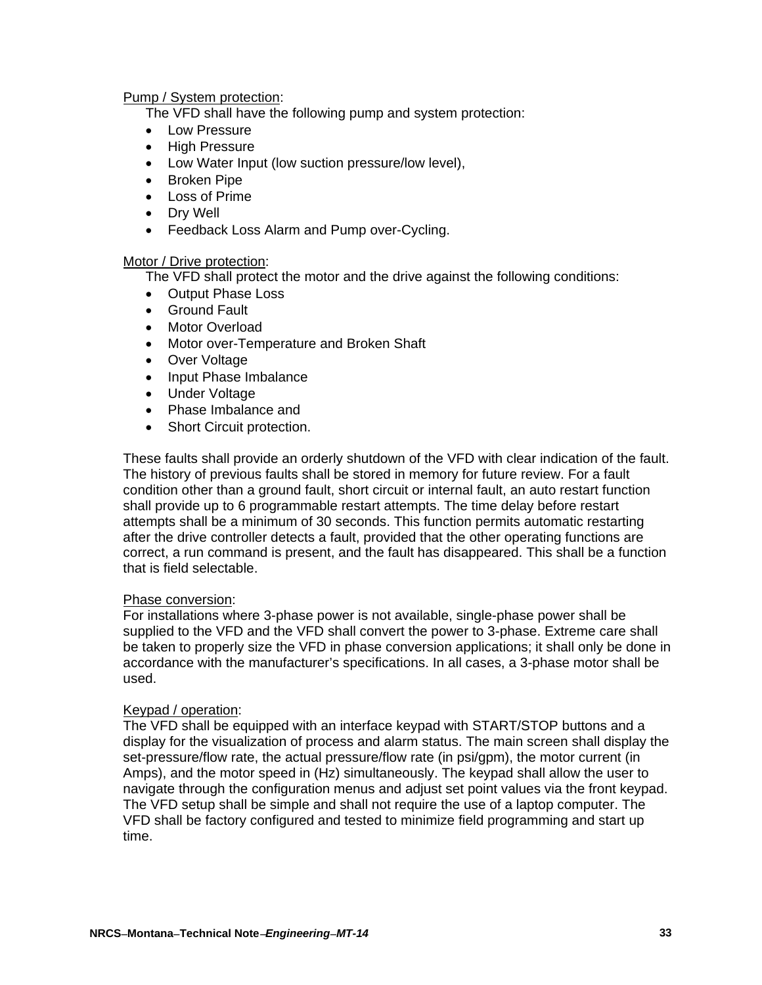#### Pump / System protection:

The VFD shall have the following pump and system protection:

- Low Pressure
- High Pressure
- Low Water Input (low suction pressure/low level),
- Broken Pipe
- Loss of Prime
- Dry Well
- Feedback Loss Alarm and Pump over-Cycling.

### Motor / Drive protection:

The VFD shall protect the motor and the drive against the following conditions:

- Output Phase Loss
- Ground Fault
- Motor Overload
- Motor over-Temperature and Broken Shaft
- Over Voltage
- Input Phase Imbalance
- Under Voltage
- Phase Imbalance and
- Short Circuit protection.

These faults shall provide an orderly shutdown of the VFD with clear indication of the fault. The history of previous faults shall be stored in memory for future review. For a fault condition other than a ground fault, short circuit or internal fault, an auto restart function shall provide up to 6 programmable restart attempts. The time delay before restart attempts shall be a minimum of 30 seconds. This function permits automatic restarting after the drive controller detects a fault, provided that the other operating functions are correct, a run command is present, and the fault has disappeared. This shall be a function that is field selectable.

#### Phase conversion:

For installations where 3-phase power is not available, single-phase power shall be supplied to the VFD and the VFD shall convert the power to 3-phase. Extreme care shall be taken to properly size the VFD in phase conversion applications; it shall only be done in accordance with the manufacturer's specifications. In all cases, a 3-phase motor shall be used.

#### Keypad / operation:

The VFD shall be equipped with an interface keypad with START/STOP buttons and a display for the visualization of process and alarm status. The main screen shall display the set-pressure/flow rate, the actual pressure/flow rate (in psi/gpm), the motor current (in Amps), and the motor speed in (Hz) simultaneously. The keypad shall allow the user to navigate through the configuration menus and adjust set point values via the front keypad. The VFD setup shall be simple and shall not require the use of a laptop computer. The VFD shall be factory configured and tested to minimize field programming and start up time.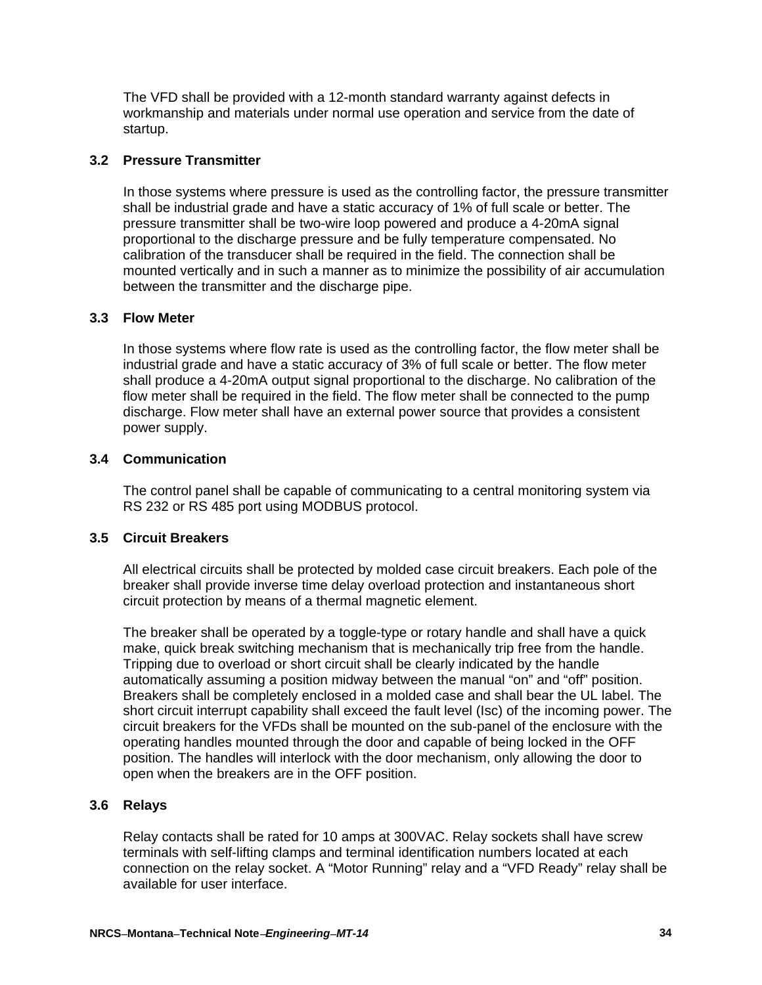The VFD shall be provided with a 12-month standard warranty against defects in workmanship and materials under normal use operation and service from the date of startup.

### **3.2 Pressure Transmitter**

In those systems where pressure is used as the controlling factor, the pressure transmitter shall be industrial grade and have a static accuracy of 1% of full scale or better. The pressure transmitter shall be two-wire loop powered and produce a 4-20mA signal proportional to the discharge pressure and be fully temperature compensated. No calibration of the transducer shall be required in the field. The connection shall be mounted vertically and in such a manner as to minimize the possibility of air accumulation between the transmitter and the discharge pipe.

#### **3.3 Flow Meter**

In those systems where flow rate is used as the controlling factor, the flow meter shall be industrial grade and have a static accuracy of 3% of full scale or better. The flow meter shall produce a 4-20mA output signal proportional to the discharge. No calibration of the flow meter shall be required in the field. The flow meter shall be connected to the pump discharge. Flow meter shall have an external power source that provides a consistent power supply.

### **3.4 Communication**

The control panel shall be capable of communicating to a central monitoring system via RS 232 or RS 485 port using MODBUS protocol.

## **3.5 Circuit Breakers**

All electrical circuits shall be protected by molded case circuit breakers. Each pole of the breaker shall provide inverse time delay overload protection and instantaneous short circuit protection by means of a thermal magnetic element.

The breaker shall be operated by a toggle-type or rotary handle and shall have a quick make, quick break switching mechanism that is mechanically trip free from the handle. Tripping due to overload or short circuit shall be clearly indicated by the handle automatically assuming a position midway between the manual "on" and "off" position. Breakers shall be completely enclosed in a molded case and shall bear the UL label. The short circuit interrupt capability shall exceed the fault level (Isc) of the incoming power. The circuit breakers for the VFDs shall be mounted on the sub-panel of the enclosure with the operating handles mounted through the door and capable of being locked in the OFF position. The handles will interlock with the door mechanism, only allowing the door to open when the breakers are in the OFF position.

## **3.6 Relays**

Relay contacts shall be rated for 10 amps at 300VAC. Relay sockets shall have screw terminals with self-lifting clamps and terminal identification numbers located at each connection on the relay socket. A "Motor Running" relay and a "VFD Ready" relay shall be available for user interface.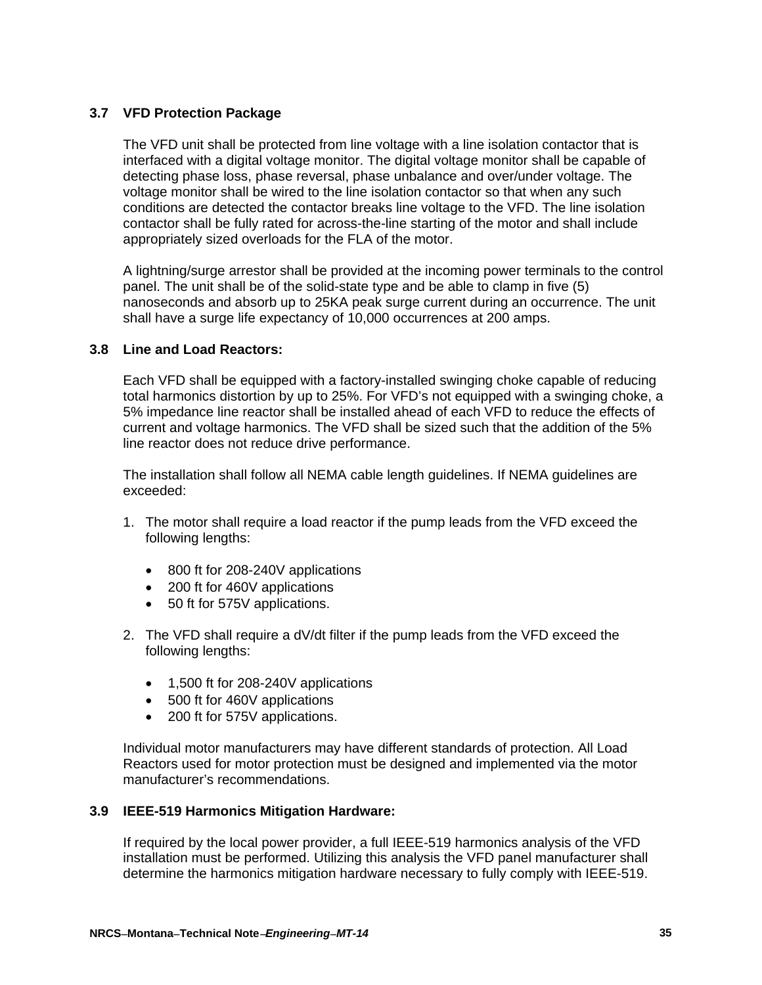# **3.7 VFD Protection Package**

The VFD unit shall be protected from line voltage with a line isolation contactor that is interfaced with a digital voltage monitor. The digital voltage monitor shall be capable of detecting phase loss, phase reversal, phase unbalance and over/under voltage. The voltage monitor shall be wired to the line isolation contactor so that when any such conditions are detected the contactor breaks line voltage to the VFD. The line isolation contactor shall be fully rated for across-the-line starting of the motor and shall include appropriately sized overloads for the FLA of the motor.

A lightning/surge arrestor shall be provided at the incoming power terminals to the control panel. The unit shall be of the solid-state type and be able to clamp in five (5) nanoseconds and absorb up to 25KA peak surge current during an occurrence. The unit shall have a surge life expectancy of 10,000 occurrences at 200 amps.

### **3.8 Line and Load Reactors:**

Each VFD shall be equipped with a factory-installed swinging choke capable of reducing total harmonics distortion by up to 25%. For VFD's not equipped with a swinging choke, a 5% impedance line reactor shall be installed ahead of each VFD to reduce the effects of current and voltage harmonics. The VFD shall be sized such that the addition of the 5% line reactor does not reduce drive performance.

The installation shall follow all NEMA cable length guidelines. If NEMA guidelines are exceeded:

- 1. The motor shall require a load reactor if the pump leads from the VFD exceed the following lengths:
	- 800 ft for 208-240V applications
	- 200 ft for 460V applications
	- 50 ft for 575V applications.
- 2. The VFD shall require a dV/dt filter if the pump leads from the VFD exceed the following lengths:
	- 1,500 ft for 208-240V applications
	- 500 ft for 460V applications
	- 200 ft for 575V applications.

Individual motor manufacturers may have different standards of protection. All Load Reactors used for motor protection must be designed and implemented via the motor manufacturer's recommendations.

#### **3.9 IEEE-519 Harmonics Mitigation Hardware:**

If required by the local power provider, a full IEEE-519 harmonics analysis of the VFD installation must be performed. Utilizing this analysis the VFD panel manufacturer shall determine the harmonics mitigation hardware necessary to fully comply with IEEE-519.